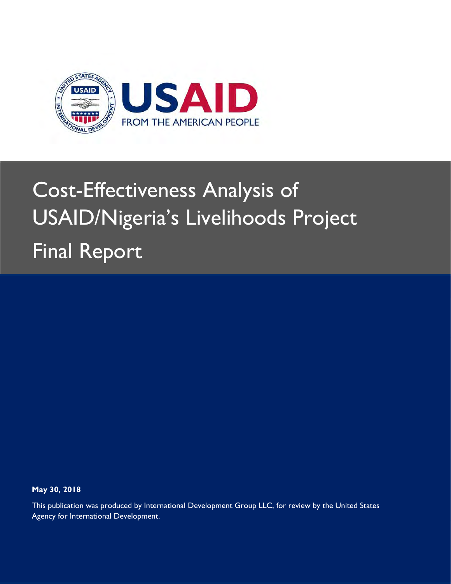

# Cost-Effectiveness Analysis of USAID/Nigeria's Livelihoods Project Final Report

**May 30, 2018** 

This publication was produced by International Development Group LLC, for review by the United States Agency for International Development.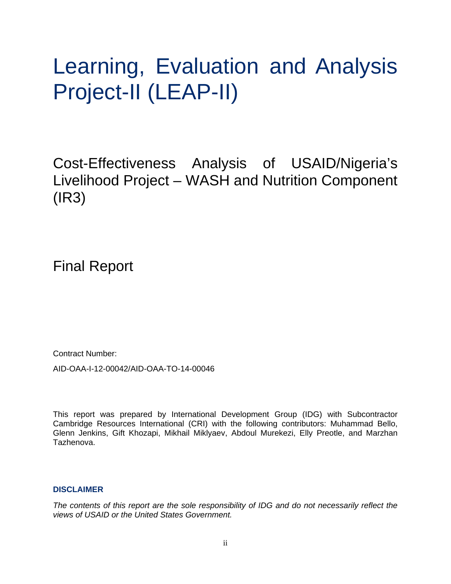# Learning, Evaluation and Analysis Project-II (LEAP-II)

Cost-Effectiveness Analysis of USAID/Nigeria's Livelihood Project – WASH and Nutrition Component (IR3)

Final Report

Contract Number:

AID-OAA-I-12-00042/AID-OAA-TO-14-00046

This report was prepared by International Development Group (IDG) with Subcontractor Cambridge Resources International (CRI) with the following contributors: Muhammad Bello, Glenn Jenkins, Gift Khozapi, Mikhail Miklyaev, Abdoul Murekezi, Elly Preotle, and Marzhan Tazhenova.

### **DISCLAIMER**

*The contents of this report are the sole responsibility of IDG and do not necessarily reflect the views of USAID or the United States Government.*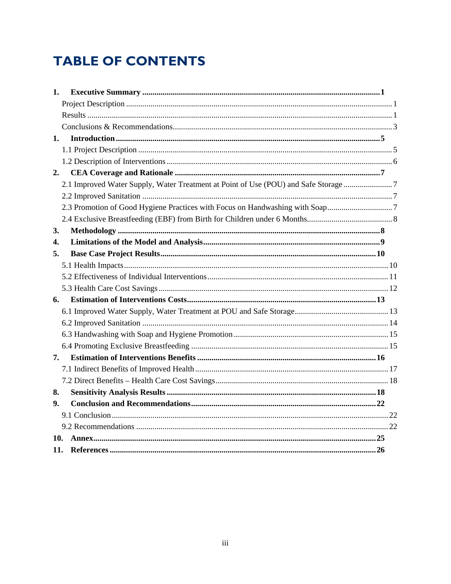# **TABLE OF CONTENTS**

| 1.  |                                                                                     |  |
|-----|-------------------------------------------------------------------------------------|--|
|     |                                                                                     |  |
|     |                                                                                     |  |
|     |                                                                                     |  |
| 1.  |                                                                                     |  |
|     |                                                                                     |  |
|     |                                                                                     |  |
| 2.  |                                                                                     |  |
|     | 2.1 Improved Water Supply, Water Treatment at Point of Use (POU) and Safe Storage 7 |  |
|     |                                                                                     |  |
|     | 2.3 Promotion of Good Hygiene Practices with Focus on Handwashing with Soap7        |  |
|     |                                                                                     |  |
| 3.  |                                                                                     |  |
| 4.  |                                                                                     |  |
| 5.  |                                                                                     |  |
|     |                                                                                     |  |
|     |                                                                                     |  |
|     |                                                                                     |  |
| 6.  |                                                                                     |  |
|     |                                                                                     |  |
|     |                                                                                     |  |
|     |                                                                                     |  |
|     |                                                                                     |  |
| 7.  |                                                                                     |  |
|     |                                                                                     |  |
|     |                                                                                     |  |
| 8.  |                                                                                     |  |
| 9.  |                                                                                     |  |
|     |                                                                                     |  |
|     |                                                                                     |  |
| 10. |                                                                                     |  |
|     |                                                                                     |  |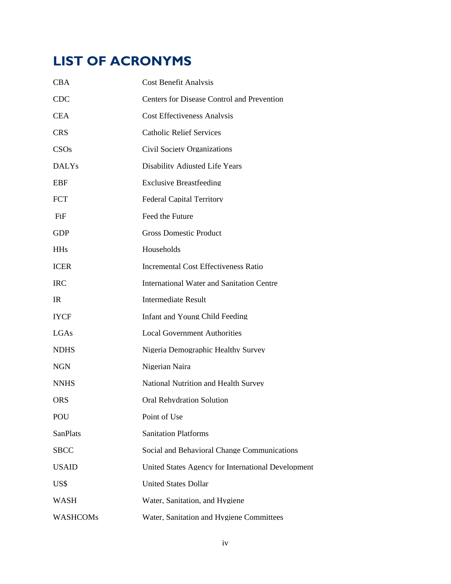# **LIST OF ACRONYMS**

| <b>CBA</b>      | <b>Cost Benefit Analysis</b>                       |
|-----------------|----------------------------------------------------|
| <b>CDC</b>      | <b>Centers for Disease Control and Prevention</b>  |
| <b>CEA</b>      | <b>Cost Effectiveness Analysis</b>                 |
| <b>CRS</b>      | <b>Catholic Relief Services</b>                    |
| CSOs            | <b>Civil Society Organizations</b>                 |
| <b>DALYs</b>    | Disability Adjusted Life Years                     |
| <b>EBF</b>      | <b>Exclusive Breastfeeding</b>                     |
| <b>FCT</b>      | <b>Federal Capital Territory</b>                   |
| FtF             | Feed the Future                                    |
| <b>GDP</b>      | <b>Gross Domestic Product</b>                      |
| <b>HHs</b>      | Households                                         |
| <b>ICER</b>     | <b>Incremental Cost Effectiveness Ratio</b>        |
| <b>IRC</b>      | <b>International Water and Sanitation Centre</b>   |
| $_{\rm IR}$     | <b>Intermediate Result</b>                         |
| <b>IYCF</b>     | <b>Infant and Young Child Feeding</b>              |
| LGAs            | <b>Local Government Authorities</b>                |
| <b>NDHS</b>     | Nigeria Demographic Healthy Survey                 |
| <b>NGN</b>      | Nigerian Naira                                     |
| <b>NNHS</b>     | National Nutrition and Health Survey               |
| <b>ORS</b>      | <b>Oral Rehydration Solution</b>                   |
| POU             | Point of Use                                       |
| SanPlats        | <b>Sanitation Platforms</b>                        |
| <b>SBCC</b>     | Social and Behavioral Change Communications        |
| <b>USAID</b>    | United States Agency for International Development |
| US\$            | <b>United States Dollar</b>                        |
| <b>WASH</b>     | Water, Sanitation, and Hygiene                     |
| <b>WASHCOMs</b> | Water, Sanitation and Hygiene Committees           |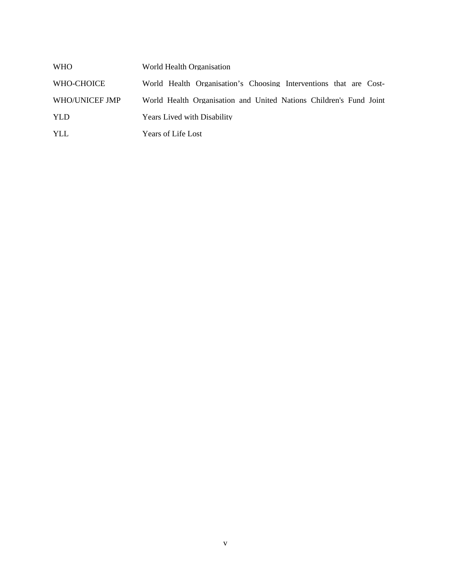| WHO            | World Health Organisation                                          |
|----------------|--------------------------------------------------------------------|
| WHO-CHOICE     | World Health Organisation's Choosing Interventions that are Cost-  |
| WHO/UNICEF JMP | World Health Organisation and United Nations Children's Fund Joint |
| YLD            | <b>Years Lived with Disability</b>                                 |
| YLL            | Years of Life Lost                                                 |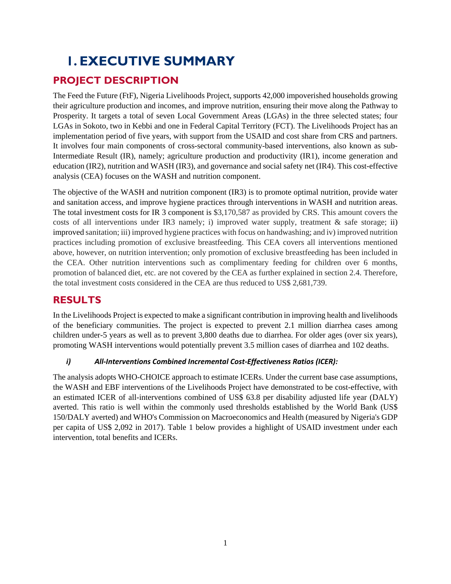# **1. EXECUTIVE SUMMARY**

# **PROJECT DESCRIPTION**

The Feed the Future (FtF), Nigeria Livelihoods Project, supports 42,000 impoverished households growing their agriculture production and incomes, and improve nutrition, ensuring their move along the Pathway to Prosperity. It targets a total of seven Local Government Areas (LGAs) in the three selected states; four LGAs in Sokoto, two in Kebbi and one in Federal Capital Territory (FCT). The Livelihoods Project has an implementation period of five years, with support from the USAID and cost share from CRS and partners. It involves four main components of cross-sectoral community-based interventions, also known as sub-Intermediate Result (IR), namely; agriculture production and productivity (IR1), income generation and education (IR2), nutrition and WASH (IR3), and governance and social safety net (IR4). This cost-effective analysis (CEA) focuses on the WASH and nutrition component.

The objective of the WASH and nutrition component (IR3) is to promote optimal nutrition, provide water and sanitation access, and improve hygiene practices through interventions in WASH and nutrition areas. The total investment costs for IR 3 component is \$3,170,587 as provided by CRS. This amount covers the costs of all interventions under IR3 namely; i) improved water supply, treatment & safe storage; ii) improved sanitation; iii) improved hygiene practices with focus on handwashing; and iv) improved nutrition practices including promotion of exclusive breastfeeding. This CEA covers all interventions mentioned above, however, on nutrition intervention; only promotion of exclusive breastfeeding has been included in the CEA. Other nutrition interventions such as complimentary feeding for children over 6 months, promotion of balanced diet, etc. are not covered by the CEA as further explained in section 2.4. Therefore, the total investment costs considered in the CEA are thus reduced to US\$ 2,681,739.

# **RESULTS**

In the Livelihoods Project is expected to make a significant contribution in improving health and livelihoods of the beneficiary communities. The project is expected to prevent 2.1 million diarrhea cases among children under-5 years as well as to prevent 3,800 deaths due to diarrhea. For older ages (over six years), promoting WASH interventions would potentially prevent 3.5 million cases of diarrhea and 102 deaths.

### *i) All‐Interventions Combined Incremental Cost‐Effectiveness Ratios (ICER):*

The analysis adopts WHO-CHOICE approach to estimate ICERs. Under the current base case assumptions, the WASH and EBF interventions of the Livelihoods Project have demonstrated to be cost-effective, with an estimated ICER of all-interventions combined of US\$ 63.8 per disability adjusted life year (DALY) averted. This ratio is well within the commonly used thresholds established by the World Bank (US\$ 150/DALY averted) and WHO's Commission on Macroeconomics and Health (measured by Nigeria's GDP per capita of US\$ 2,092 in 2017). Table 1 below provides a highlight of USAID investment under each intervention, total benefits and ICERs.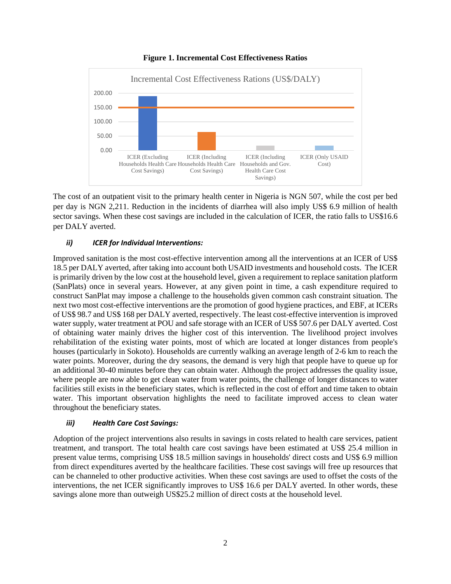

#### **Figure 1. Incremental Cost Effectiveness Ratios**

The cost of an outpatient visit to the primary health center in Nigeria is NGN 507, while the cost per bed per day is NGN 2,211. Reduction in the incidents of diarrhea will also imply US\$ 6.9 million of health sector savings. When these cost savings are included in the calculation of ICER, the ratio falls to US\$16.6 per DALY averted.

#### *ii) ICER for Individual Interventions:*

Improved sanitation is the most cost-effective intervention among all the interventions at an ICER of US\$ 18.5 per DALY averted, after taking into account both USAID investments and household costs. The ICER is primarily driven by the low cost at the household level, given a requirement to replace sanitation platform (SanPlats) once in several years. However, at any given point in time, a cash expenditure required to construct SanPlat may impose a challenge to the households given common cash constraint situation. The next two most cost-effective interventions are the promotion of good hygiene practices, and EBF, at ICERs of US\$ 98.7 and US\$ 168 per DALY averted, respectively. The least cost-effective intervention is improved water supply, water treatment at POU and safe storage with an ICER of US\$ 507.6 per DALY averted. Cost of obtaining water mainly drives the higher cost of this intervention. The livelihood project involves rehabilitation of the existing water points, most of which are located at longer distances from people's houses (particularly in Sokoto). Households are currently walking an average length of 2-6 km to reach the water points. Moreover, during the dry seasons, the demand is very high that people have to queue up for an additional 30-40 minutes before they can obtain water. Although the project addresses the quality issue, where people are now able to get clean water from water points, the challenge of longer distances to water facilities still exists in the beneficiary states, which is reflected in the cost of effort and time taken to obtain water. This important observation highlights the need to facilitate improved access to clean water throughout the beneficiary states.

#### *iii) Health Care Cost Savings:*

Adoption of the project interventions also results in savings in costs related to health care services, patient treatment, and transport. The total health care cost savings have been estimated at US\$ 25.4 million in present value terms, comprising US\$ 18.5 million savings in households' direct costs and US\$ 6.9 million from direct expenditures averted by the healthcare facilities. These cost savings will free up resources that can be channeled to other productive activities. When these cost savings are used to offset the costs of the interventions, the net ICER significantly improves to US\$ 16.6 per DALY averted. In other words, these savings alone more than outweigh US\$25.2 million of direct costs at the household level.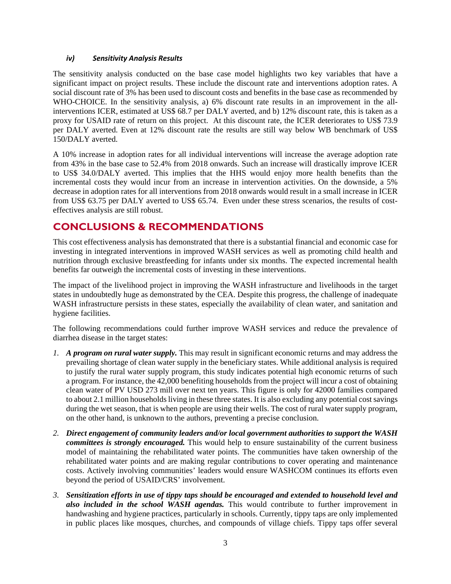#### *iv) Sensitivity Analysis Results*

The sensitivity analysis conducted on the base case model highlights two key variables that have a significant impact on project results. These include the discount rate and interventions adoption rates. A social discount rate of 3% has been used to discount costs and benefits in the base case as recommended by WHO-CHOICE. In the sensitivity analysis, a) 6% discount rate results in an improvement in the allinterventions ICER, estimated at US\$ 68.7 per DALY averted, and b) 12% discount rate, this is taken as a proxy for USAID rate of return on this project. At this discount rate, the ICER deteriorates to US\$ 73.9 per DALY averted. Even at 12% discount rate the results are still way below WB benchmark of US\$ 150/DALY averted.

A 10% increase in adoption rates for all individual interventions will increase the average adoption rate from 43% in the base case to 52.4% from 2018 onwards. Such an increase will drastically improve ICER to US\$ 34.0/DALY averted. This implies that the HHS would enjoy more health benefits than the incremental costs they would incur from an increase in intervention activities. On the downside, a 5% decrease in adoption rates for all interventions from 2018 onwards would result in a small increase in ICER from US\$ 63.75 per DALY averted to US\$ 65.74. Even under these stress scenarios, the results of costeffectives analysis are still robust.

### **CONCLUSIONS & RECOMMENDATIONS**

This cost effectiveness analysis has demonstrated that there is a substantial financial and economic case for investing in integrated interventions in improved WASH services as well as promoting child health and nutrition through exclusive breastfeeding for infants under six months. The expected incremental health benefits far outweigh the incremental costs of investing in these interventions.

The impact of the livelihood project in improving the WASH infrastructure and livelihoods in the target states in undoubtedly huge as demonstrated by the CEA. Despite this progress, the challenge of inadequate WASH infrastructure persists in these states, especially the availability of clean water, and sanitation and hygiene facilities.

The following recommendations could further improve WASH services and reduce the prevalence of diarrhea disease in the target states:

- *1. A program on rural water supply.* This may result in significant economic returns and may address the prevailing shortage of clean water supply in the beneficiary states. While additional analysis is required to justify the rural water supply program, this study indicates potential high economic returns of such a program. For instance, the 42,000 benefiting households from the project will incur a cost of obtaining clean water of PV USD 273 mill over next ten years. This figure is only for 42000 families compared to about 2.1 million households living in these three states. It is also excluding any potential cost savings during the wet season, that is when people are using their wells. The cost of rural water supply program, on the other hand, is unknown to the authors, preventing a precise conclusion.
- *2. Direct engagement of community leaders and/or local government authorities to support the WASH committees is strongly encouraged.* This would help to ensure sustainability of the current business model of maintaining the rehabilitated water points. The communities have taken ownership of the rehabilitated water points and are making regular contributions to cover operating and maintenance costs. Actively involving communities' leaders would ensure WASHCOM continues its efforts even beyond the period of USAID/CRS' involvement.
- *3. Sensitization efforts in use of tippy taps should be encouraged and extended to household level and also included in the school WASH agendas.* This would contribute to further improvement in handwashing and hygiene practices, particularly in schools. Currently, tippy taps are only implemented in public places like mosques, churches, and compounds of village chiefs. Tippy taps offer several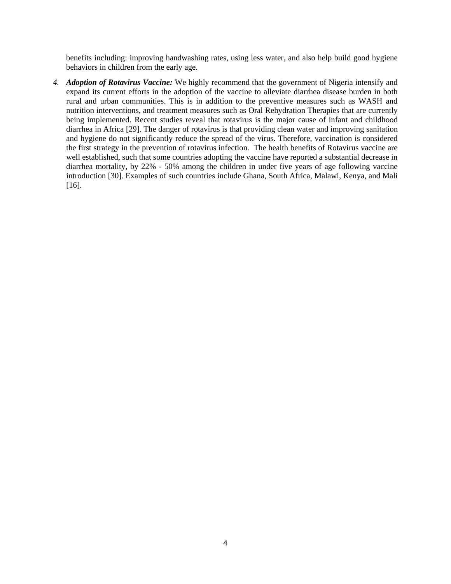benefits including: improving handwashing rates, using less water, and also help build good hygiene behaviors in children from the early age.

*4. Adoption of Rotavirus Vaccine:* We highly recommend that the government of Nigeria intensify and expand its current efforts in the adoption of the vaccine to alleviate diarrhea disease burden in both rural and urban communities. This is in addition to the preventive measures such as WASH and nutrition interventions, and treatment measures such as Oral Rehydration Therapies that are currently being implemented. Recent studies reveal that rotavirus is the major cause of infant and childhood diarrhea in Africa [29]. The danger of rotavirus is that providing clean water and improving sanitation and hygiene do not significantly reduce the spread of the virus. Therefore, vaccination is considered the first strategy in the prevention of rotavirus infection. The health benefits of Rotavirus vaccine are well established, such that some countries adopting the vaccine have reported a substantial decrease in diarrhea mortality, by 22% - 50% among the children in under five years of age following vaccine introduction [30]. Examples of such countries include Ghana, South Africa, Malawi, Kenya, and Mali [16].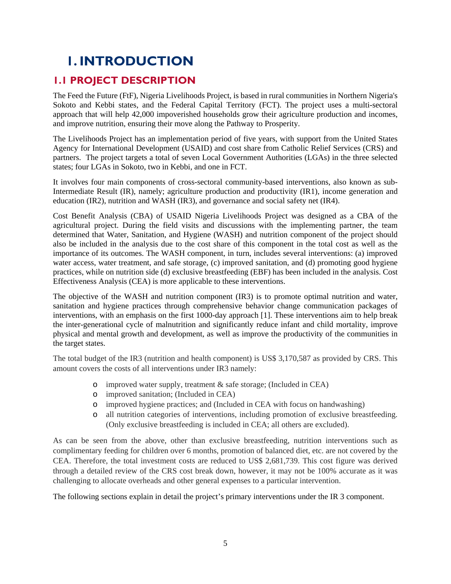# **1. INTRODUCTION**

# **1.1 PROJECT DESCRIPTION**

The Feed the Future (FtF), Nigeria Livelihoods Project, is based in rural communities in Northern Nigeria's Sokoto and Kebbi states, and the Federal Capital Territory (FCT). The project uses a multi-sectoral approach that will help 42,000 impoverished households grow their agriculture production and incomes, and improve nutrition, ensuring their move along the Pathway to Prosperity.

The Livelihoods Project has an implementation period of five years, with support from the United States Agency for International Development (USAID) and cost share from Catholic Relief Services (CRS) and partners. The project targets a total of seven Local Government Authorities (LGAs) in the three selected states; four LGAs in Sokoto, two in Kebbi, and one in FCT.

It involves four main components of cross-sectoral community-based interventions, also known as sub-Intermediate Result (IR), namely; agriculture production and productivity (IR1), income generation and education (IR2), nutrition and WASH (IR3), and governance and social safety net (IR4).

Cost Benefit Analysis (CBA) of USAID Nigeria Livelihoods Project was designed as a CBA of the agricultural project. During the field visits and discussions with the implementing partner, the team determined that Water, Sanitation, and Hygiene (WASH) and nutrition component of the project should also be included in the analysis due to the cost share of this component in the total cost as well as the importance of its outcomes. The WASH component, in turn, includes several interventions: (a) improved water access, water treatment, and safe storage, (c) improved sanitation, and (d) promoting good hygiene practices, while on nutrition side (d) exclusive breastfeeding (EBF) has been included in the analysis. Cost Effectiveness Analysis (CEA) is more applicable to these interventions.

The objective of the WASH and nutrition component (IR3) is to promote optimal nutrition and water, sanitation and hygiene practices through comprehensive behavior change communication packages of interventions, with an emphasis on the first 1000-day approach [1]. These interventions aim to help break the inter-generational cycle of malnutrition and significantly reduce infant and child mortality, improve physical and mental growth and development, as well as improve the productivity of the communities in the target states.

The total budget of the IR3 (nutrition and health component) is US\$ 3,170,587 as provided by CRS. This amount covers the costs of all interventions under IR3 namely:

- o improved water supply, treatment & safe storage; (Included in CEA)
- o improved sanitation; (Included in CEA)
- o improved hygiene practices; and (Included in CEA with focus on handwashing)
- o all nutrition categories of interventions, including promotion of exclusive breastfeeding. (Only exclusive breastfeeding is included in CEA; all others are excluded).

As can be seen from the above, other than exclusive breastfeeding, nutrition interventions such as complimentary feeding for children over 6 months, promotion of balanced diet, etc. are not covered by the CEA. Therefore, the total investment costs are reduced to US\$ 2,681,739. This cost figure was derived through a detailed review of the CRS cost break down, however, it may not be 100% accurate as it was challenging to allocate overheads and other general expenses to a particular intervention.

The following sections explain in detail the project's primary interventions under the IR 3 component.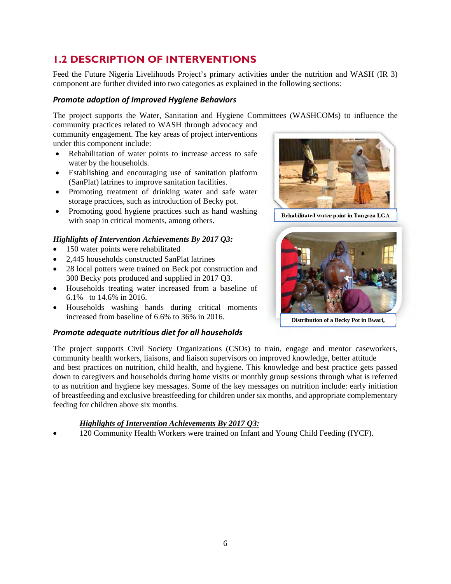# **1.2 DESCRIPTION OF INTERVENTIONS**

Feed the Future Nigeria Livelihoods Project's primary activities under the nutrition and WASH (IR 3) component are further divided into two categories as explained in the following sections:

#### *Promote adoption of Improved Hygiene Behaviors*

The project supports the Water, Sanitation and Hygiene Committees (WASHCOMs) to influence the

community practices related to WASH through advocacy and community engagement. The key areas of project interventions under this component include:

- Rehabilitation of water points to increase access to safe water by the households.
- Establishing and encouraging use of sanitation platform (SanPlat) latrines to improve sanitation facilities.
- Promoting treatment of drinking water and safe water storage practices, such as introduction of Becky pot.
- Promoting good hygiene practices such as hand washing with soap in critical moments, among others.

### *Highlights of Intervention Achievements By 2017 Q3:*

- 150 water points were rehabilitated
- 2,445 households constructed SanPlat latrines
- 28 local potters were trained on Beck pot construction and 300 Becky pots produced and supplied in 2017 Q3.
- Households treating water increased from a baseline of 6.1% to 14.6% in 2016.
- Households washing hands during critical moments increased from baseline of 6.6% to 36% in 2016.

### *Promote adequate nutritious diet for all households*



**Rehabilitated water point in Tangaza LGA**



**Distribution of a Becky Pot in Bwari,** 

The project supports Civil Society Organizations (CSOs) to train, engage and mentor caseworkers, community health workers, liaisons, and liaison supervisors on improved knowledge, better attitude and best practices on nutrition, child health, and hygiene. This knowledge and best practice gets passed down to caregivers and households during home visits or monthly group sessions through what is referred to as nutrition and hygiene key messages. Some of the key messages on nutrition include: early initiation of breastfeeding and exclusive breastfeeding for children under six months, and appropriate complementary feeding for children above six months.

### *Highlights of Intervention Achievements By 2017 Q3:*

120 Community Health Workers were trained on Infant and Young Child Feeding (IYCF).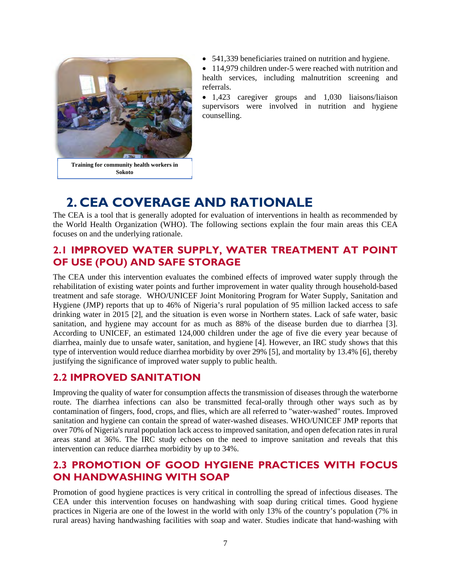

• 541,339 beneficiaries trained on nutrition and hygiene.

• 114,979 children under-5 were reached with nutrition and health services, including malnutrition screening and referrals.

 1,423 caregiver groups and 1,030 liaisons/liaison supervisors were involved in nutrition and hygiene counselling.

# **2. CEA COVERAGE AND RATIONALE**

The CEA is a tool that is generally adopted for evaluation of interventions in health as recommended by the World Health Organization (WHO). The following sections explain the four main areas this CEA focuses on and the underlying rationale.

## **2.1 IMPROVED WATER SUPPLY, WATER TREATMENT AT POINT OF USE (POU) AND SAFE STORAGE**

The CEA under this intervention evaluates the combined effects of improved water supply through the rehabilitation of existing water points and further improvement in water quality through household-based treatment and safe storage. WHO/UNICEF Joint Monitoring Program for Water Supply, Sanitation and Hygiene (JMP) reports that up to 46% of Nigeria's rural population of 95 million lacked access to safe drinking water in 2015 [2], and the situation is even worse in Northern states. Lack of safe water, basic sanitation, and hygiene may account for as much as 88% of the disease burden due to diarrhea [3]. According to UNICEF, an estimated 124,000 children under the age of five die every year because of diarrhea, mainly due to unsafe water, sanitation, and hygiene [4]. However, an IRC study shows that this type of intervention would reduce diarrhea morbidity by over 29% [5], and mortality by 13.4% [6], thereby justifying the significance of improved water supply to public health.

### **2.2 IMPROVED SANITATION**

Improving the quality of water for consumption affects the transmission of diseases through the waterborne route. The diarrhea infections can also be transmitted fecal-orally through other ways such as by contamination of fingers, food, crops, and flies, which are all referred to "water-washed" routes. Improved sanitation and hygiene can contain the spread of water-washed diseases. WHO/UNICEF JMP reports that over 70% of Nigeria's rural population lack access to improved sanitation, and open defecation rates in rural areas stand at 36%. The IRC study echoes on the need to improve sanitation and reveals that this intervention can reduce diarrhea morbidity by up to 34%.

# **2.3 PROMOTION OF GOOD HYGIENE PRACTICES WITH FOCUS ON HANDWASHING WITH SOAP**

Promotion of good hygiene practices is very critical in controlling the spread of infectious diseases. The CEA under this intervention focuses on handwashing with soap during critical times. Good hygiene practices in Nigeria are one of the lowest in the world with only 13% of the country's population (7% in rural areas) having handwashing facilities with soap and water. Studies indicate that hand-washing with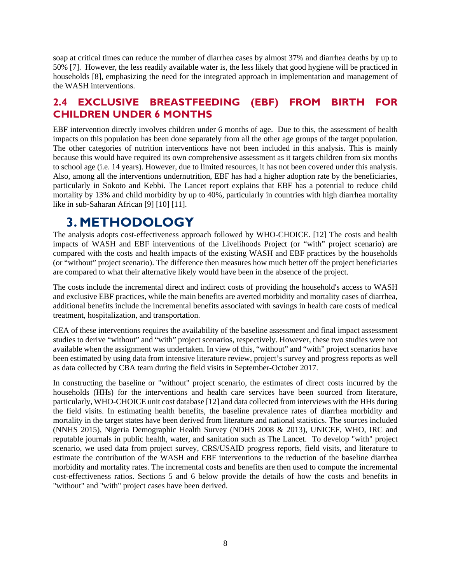soap at critical times can reduce the number of diarrhea cases by almost 37% and diarrhea deaths by up to 50% [7]. However, the less readily available water is, the less likely that good hygiene will be practiced in households [8], emphasizing the need for the integrated approach in implementation and management of the WASH interventions.

### **2.4 EXCLUSIVE BREASTFEEDING (EBF) FROM BIRTH FOR CHILDREN UNDER 6 MONTHS**

EBF intervention directly involves children under 6 months of age. Due to this, the assessment of health impacts on this population has been done separately from all the other age groups of the target population. The other categories of nutrition interventions have not been included in this analysis. This is mainly because this would have required its own comprehensive assessment as it targets children from six months to school age (i.e. 14 years). However, due to limited resources, it has not been covered under this analysis. Also, among all the interventions undernutrition, EBF has had a higher adoption rate by the beneficiaries, particularly in Sokoto and Kebbi. The Lancet report explains that EBF has a potential to reduce child mortality by 13% and child morbidity by up to 40%, particularly in countries with high diarrhea mortality like in sub-Saharan African [9] [10] [11].

# **3. METHODOLOGY**

The analysis adopts cost-effectiveness approach followed by WHO-CHOICE. [12] The costs and health impacts of WASH and EBF interventions of the Livelihoods Project (or "with" project scenario) are compared with the costs and health impacts of the existing WASH and EBF practices by the households (or "without" project scenario). The difference then measures how much better off the project beneficiaries are compared to what their alternative likely would have been in the absence of the project.

The costs include the incremental direct and indirect costs of providing the household's access to WASH and exclusive EBF practices, while the main benefits are averted morbidity and mortality cases of diarrhea, additional benefits include the incremental benefits associated with savings in health care costs of medical treatment, hospitalization, and transportation.

CEA of these interventions requires the availability of the baseline assessment and final impact assessment studies to derive "without" and "with" project scenarios, respectively. However, these two studies were not available when the assignment was undertaken. In view of this, "without" and "with" project scenarios have been estimated by using data from intensive literature review, project's survey and progress reports as well as data collected by CBA team during the field visits in September-October 2017.

In constructing the baseline or "without" project scenario, the estimates of direct costs incurred by the households (HHs) for the interventions and health care services have been sourced from literature, particularly, WHO-CHOICE unit cost database [12] and data collected from interviews with the HHs during the field visits. In estimating health benefits, the baseline prevalence rates of diarrhea morbidity and mortality in the target states have been derived from literature and national statistics. The sources included (NNHS 2015), Nigeria Demographic Health Survey (NDHS 2008 & 2013), UNICEF, WHO, IRC and reputable journals in public health, water, and sanitation such as The Lancet. To develop "with" project scenario, we used data from project survey, CRS/USAID progress reports, field visits, and literature to estimate the contribution of the WASH and EBF interventions to the reduction of the baseline diarrhea morbidity and mortality rates. The incremental costs and benefits are then used to compute the incremental cost-effectiveness ratios. Sections 5 and 6 below provide the details of how the costs and benefits in "without" and "with" project cases have been derived.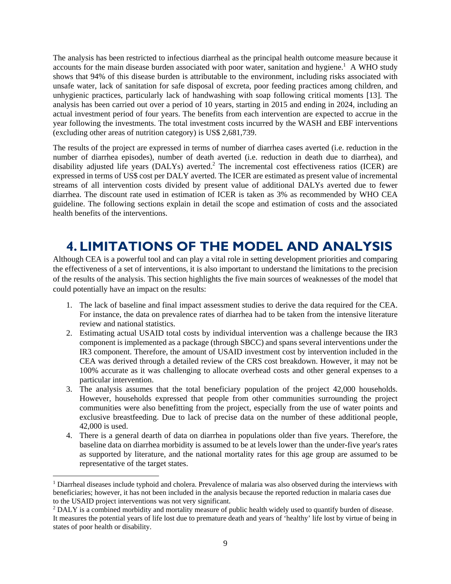The analysis has been restricted to infectious diarrheal as the principal health outcome measure because it accounts for the main disease burden associated with poor water, sanitation and hygiene.<sup>1</sup> A WHO study shows that 94% of this disease burden is attributable to the environment, including risks associated with unsafe water, lack of sanitation for safe disposal of excreta, poor feeding practices among children, and unhygienic practices, particularly lack of handwashing with soap following critical moments [13]. The analysis has been carried out over a period of 10 years, starting in 2015 and ending in 2024, including an actual investment period of four years. The benefits from each intervention are expected to accrue in the year following the investments. The total investment costs incurred by the WASH and EBF interventions (excluding other areas of nutrition category) is US\$ 2,681,739.

The results of the project are expressed in terms of number of diarrhea cases averted (i.e. reduction in the number of diarrhea episodes), number of death averted (i.e. reduction in death due to diarrhea), and disability adjusted life years (DALYs) averted.<sup>2</sup> The incremental cost effectiveness ratios (ICER) are expressed in terms of US\$ cost per DALY averted. The ICER are estimated as present value of incremental streams of all intervention costs divided by present value of additional DALYs averted due to fewer diarrhea. The discount rate used in estimation of ICER is taken as 3% as recommended by WHO CEA guideline. The following sections explain in detail the scope and estimation of costs and the associated health benefits of the interventions.

# **4. LIMITATIONS OF THE MODEL AND ANALYSIS**

Although CEA is a powerful tool and can play a vital role in setting development priorities and comparing the effectiveness of a set of interventions, it is also important to understand the limitations to the precision of the results of the analysis. This section highlights the five main sources of weaknesses of the model that could potentially have an impact on the results:

- 1. The lack of baseline and final impact assessment studies to derive the data required for the CEA. For instance, the data on prevalence rates of diarrhea had to be taken from the intensive literature review and national statistics.
- 2. Estimating actual USAID total costs by individual intervention was a challenge because the IR3 component is implemented as a package (through SBCC) and spans several interventions under the IR3 component. Therefore, the amount of USAID investment cost by intervention included in the CEA was derived through a detailed review of the CRS cost breakdown. However, it may not be 100% accurate as it was challenging to allocate overhead costs and other general expenses to a particular intervention.
- 3. The analysis assumes that the total beneficiary population of the project 42,000 households. However, households expressed that people from other communities surrounding the project communities were also benefitting from the project, especially from the use of water points and exclusive breastfeeding. Due to lack of precise data on the number of these additional people, 42,000 is used.
- 4. There is a general dearth of data on diarrhea in populations older than five years. Therefore, the baseline data on diarrhea morbidity is assumed to be at levels lower than the under-five year's rates as supported by literature, and the national mortality rates for this age group are assumed to be representative of the target states.

<sup>&</sup>lt;sup>1</sup> Diarrheal diseases include typhoid and cholera. Prevalence of malaria was also observed during the interviews with beneficiaries; however, it has not been included in the analysis because the reported reduction in malaria cases due to the USAID project interventions was not very significant.

<sup>&</sup>lt;sup>2</sup> DALY is a combined morbidity and mortality measure of public health widely used to quantify burden of disease. It measures the potential years of life lost due to premature death and years of 'healthy' life lost by virtue of being in states of poor health or disability.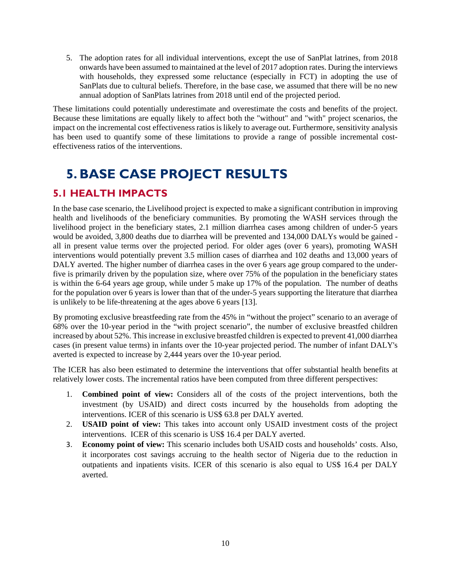5. The adoption rates for all individual interventions, except the use of SanPlat latrines, from 2018 onwards have been assumed to maintained at the level of 2017 adoption rates. During the interviews with households, they expressed some reluctance (especially in FCT) in adopting the use of SanPlats due to cultural beliefs. Therefore, in the base case, we assumed that there will be no new annual adoption of SanPlats latrines from 2018 until end of the projected period.

These limitations could potentially underestimate and overestimate the costs and benefits of the project. Because these limitations are equally likely to affect both the "without" and "with" project scenarios, the impact on the incremental cost effectiveness ratios is likely to average out. Furthermore, sensitivity analysis has been used to quantify some of these limitations to provide a range of possible incremental costeffectiveness ratios of the interventions.

# **5. BASE CASE PROJECT RESULTS**

# **5.1 HEALTH IMPACTS**

In the base case scenario, the Livelihood project is expected to make a significant contribution in improving health and livelihoods of the beneficiary communities. By promoting the WASH services through the livelihood project in the beneficiary states, 2.1 million diarrhea cases among children of under-5 years would be avoided, 3,800 deaths due to diarrhea will be prevented and 134,000 DALYs would be gained all in present value terms over the projected period. For older ages (over 6 years), promoting WASH interventions would potentially prevent 3.5 million cases of diarrhea and 102 deaths and 13,000 years of DALY averted. The higher number of diarrhea cases in the over 6 years age group compared to the underfive is primarily driven by the population size, where over 75% of the population in the beneficiary states is within the 6-64 years age group, while under 5 make up 17% of the population. The number of deaths for the population over 6 years is lower than that of the under-5 years supporting the literature that diarrhea is unlikely to be life-threatening at the ages above 6 years [13].

By promoting exclusive breastfeeding rate from the 45% in "without the project" scenario to an average of 68% over the 10-year period in the "with project scenario", the number of exclusive breastfed children increased by about 52%. This increase in exclusive breastfed children is expected to prevent 41,000 diarrhea cases (in present value terms) in infants over the 10-year projected period. The number of infant DALY's averted is expected to increase by 2,444 years over the 10-year period.

The ICER has also been estimated to determine the interventions that offer substantial health benefits at relatively lower costs. The incremental ratios have been computed from three different perspectives:

- 1. **Combined point of view:** Considers all of the costs of the project interventions, both the investment (by USAID) and direct costs incurred by the households from adopting the interventions. ICER of this scenario is US\$ 63.8 per DALY averted.
- 2. **USAID point of view:** This takes into account only USAID investment costs of the project interventions. ICER of this scenario is US\$ 16.4 per DALY averted.
- 3. **Economy point of view:** This scenario includes both USAID costs and households' costs. Also, it incorporates cost savings accruing to the health sector of Nigeria due to the reduction in outpatients and inpatients visits. ICER of this scenario is also equal to US\$ 16.4 per DALY averted.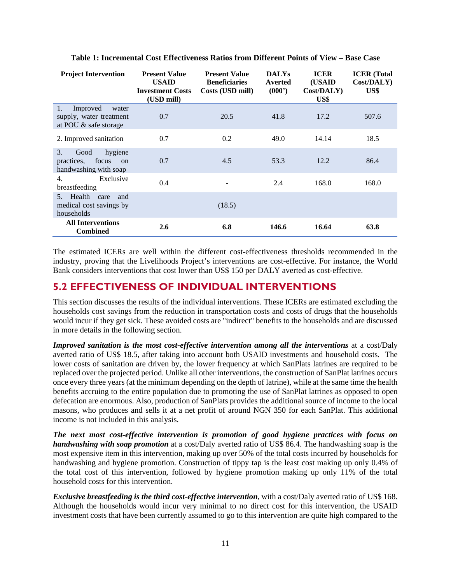| <b>Project Intervention</b>                                                            | <b>Present Value</b><br><b>USAID</b><br><b>Investment Costs</b><br>(USD mill) | <b>Present Value</b><br><b>Beneficiaries</b><br>Costs (USD mill) | <b>DALYs</b><br>Averted<br>(000) | <b>ICER</b><br>(USAID)<br>Cost/DALY)<br>US\$ | <b>ICER</b> (Total<br>Cost/DALY)<br>US\$ |
|----------------------------------------------------------------------------------------|-------------------------------------------------------------------------------|------------------------------------------------------------------|----------------------------------|----------------------------------------------|------------------------------------------|
| 1.<br>Improved<br>water<br>supply, water treatment<br>at POU $\&$ safe storage         | 0.7                                                                           | 20.5                                                             | 41.8                             | 17.2                                         | 507.6                                    |
| 2. Improved sanitation                                                                 | 0.7                                                                           | 0.2                                                              | 49.0                             | 14.14                                        | 18.5                                     |
| 3.<br>hygiene<br>Good<br>focus<br>practices.<br><sub>on</sub><br>handwashing with soap | 0.7                                                                           | 4.5                                                              | 53.3                             | 12.2                                         | 86.4                                     |
| Exclusive<br>4.<br>breastfeeding                                                       | 0.4                                                                           |                                                                  | 2.4                              | 168.0                                        | 168.0                                    |
| Health<br>5 <sub>1</sub><br>care<br>and<br>medical cost savings by<br>households       |                                                                               | (18.5)                                                           |                                  |                                              |                                          |
| <b>All Interventions</b><br><b>Combined</b>                                            | 2.6                                                                           | 6.8                                                              | 146.6                            | 16.64                                        | 63.8                                     |

**Table 1: Incremental Cost Effectiveness Ratios from Different Points of View – Base Case** 

The estimated ICERs are well within the different cost-effectiveness thresholds recommended in the industry, proving that the Livelihoods Project's interventions are cost-effective. For instance, the World Bank considers interventions that cost lower than US\$ 150 per DALY averted as cost-effective.

### **5.2 EFFECTIVENESS OF INDIVIDUAL INTERVENTIONS**

This section discusses the results of the individual interventions. These ICERs are estimated excluding the households cost savings from the reduction in transportation costs and costs of drugs that the households would incur if they get sick. These avoided costs are "indirect" benefits to the households and are discussed in more details in the following section.

*Improved sanitation is the most cost-effective intervention among all the interventions* at a cost/Daly averted ratio of US\$ 18.5, after taking into account both USAID investments and household costs. The lower costs of sanitation are driven by, the lower frequency at which SanPlats latrines are required to be replaced over the projected period. Unlike all other interventions, the construction of SanPlat latrines occurs once every three years (at the minimum depending on the depth of latrine), while at the same time the health benefits accruing to the entire population due to promoting the use of SanPlat latrines as opposed to open defecation are enormous. Also, production of SanPlats provides the additional source of income to the local masons, who produces and sells it at a net profit of around NGN 350 for each SanPlat. This additional income is not included in this analysis.

*The next most cost-effective intervention is promotion of good hygiene practices with focus on handwashing with soap promotion* at a cost/Daly averted ratio of US\$ 86.4. The handwashing soap is the most expensive item in this intervention, making up over 50% of the total costs incurred by households for handwashing and hygiene promotion. Construction of tippy tap is the least cost making up only 0.4% of the total cost of this intervention, followed by hygiene promotion making up only 11% of the total household costs for this intervention.

*Exclusive breastfeeding is the third cost-effective intervention*, with a cost/Daly averted ratio of US\$ 168. Although the households would incur very minimal to no direct cost for this intervention, the USAID investment costs that have been currently assumed to go to this intervention are quite high compared to the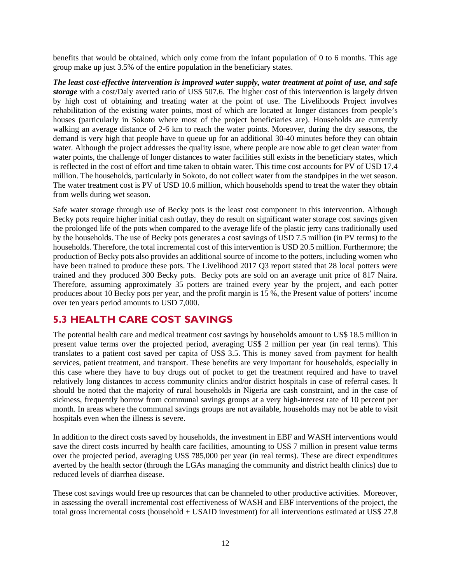benefits that would be obtained, which only come from the infant population of 0 to 6 months. This age group make up just 3.5% of the entire population in the beneficiary states.

*The least cost-effective intervention is improved water supply, water treatment at point of use, and safe storage* with a cost/Daly averted ratio of US\$ 507.6. The higher cost of this intervention is largely driven by high cost of obtaining and treating water at the point of use. The Livelihoods Project involves rehabilitation of the existing water points, most of which are located at longer distances from people's houses (particularly in Sokoto where most of the project beneficiaries are). Households are currently walking an average distance of 2-6 km to reach the water points. Moreover, during the dry seasons, the demand is very high that people have to queue up for an additional 30-40 minutes before they can obtain water. Although the project addresses the quality issue, where people are now able to get clean water from water points, the challenge of longer distances to water facilities still exists in the beneficiary states, which is reflected in the cost of effort and time taken to obtain water. This time cost accounts for PV of USD 17.4 million. The households, particularly in Sokoto, do not collect water from the standpipes in the wet season. The water treatment cost is PV of USD 10.6 million, which households spend to treat the water they obtain from wells during wet season.

Safe water storage through use of Becky pots is the least cost component in this intervention. Although Becky pots require higher initial cash outlay, they do result on significant water storage cost savings given the prolonged life of the pots when compared to the average life of the plastic jerry cans traditionally used by the households. The use of Becky pots generates a cost savings of USD 7.5 million (in PV terms) to the households. Therefore, the total incremental cost of this intervention is USD 20.5 million. Furthermore; the production of Becky pots also provides an additional source of income to the potters, including women who have been trained to produce these pots. The Livelihood 2017 Q3 report stated that 28 local potters were trained and they produced 300 Becky pots. Becky pots are sold on an average unit price of 817 Naira. Therefore, assuming approximately 35 potters are trained every year by the project, and each potter produces about 10 Becky pots per year, and the profit margin is 15 %, the Present value of potters' income over ten years period amounts to USD 7,000.

# **5.3 HEALTH CARE COST SAVINGS**

The potential health care and medical treatment cost savings by households amount to US\$ 18.5 million in present value terms over the projected period, averaging US\$ 2 million per year (in real terms). This translates to a patient cost saved per capita of US\$ 3.5. This is money saved from payment for health services, patient treatment, and transport. These benefits are very important for households, especially in this case where they have to buy drugs out of pocket to get the treatment required and have to travel relatively long distances to access community clinics and/or district hospitals in case of referral cases. It should be noted that the majority of rural households in Nigeria are cash constraint, and in the case of sickness, frequently borrow from communal savings groups at a very high-interest rate of 10 percent per month. In areas where the communal savings groups are not available, households may not be able to visit hospitals even when the illness is severe.

In addition to the direct costs saved by households, the investment in EBF and WASH interventions would save the direct costs incurred by health care facilities, amounting to US\$ 7 million in present value terms over the projected period, averaging US\$ 785,000 per year (in real terms). These are direct expenditures averted by the health sector (through the LGAs managing the community and district health clinics) due to reduced levels of diarrhea disease.

These cost savings would free up resources that can be channeled to other productive activities. Moreover, in assessing the overall incremental cost effectiveness of WASH and EBF interventions of the project, the total gross incremental costs (household + USAID investment) for all interventions estimated at US\$ 27.8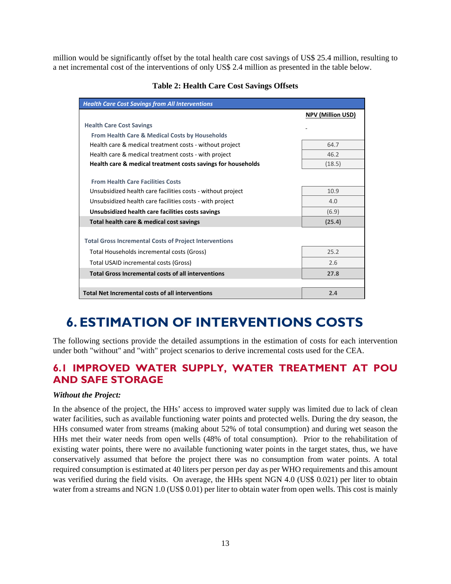million would be significantly offset by the total health care cost savings of US\$ 25.4 million, resulting to a net incremental cost of the interventions of only US\$ 2.4 million as presented in the table below.

| <b>Health Care Cost Savings from All Interventions</b>        |                          |  |  |  |  |
|---------------------------------------------------------------|--------------------------|--|--|--|--|
|                                                               | <b>NPV (Million USD)</b> |  |  |  |  |
| <b>Health Care Cost Savings</b>                               |                          |  |  |  |  |
| From Health Care & Medical Costs by Households                |                          |  |  |  |  |
| Health care & medical treatment costs - without project       | 64.7                     |  |  |  |  |
| Health care & medical treatment costs - with project          | 46.2                     |  |  |  |  |
| Health care & medical treatment costs savings for households  | (18.5)                   |  |  |  |  |
| <b>From Health Care Facilities Costs</b>                      |                          |  |  |  |  |
| Unsubsidized health care facilities costs - without project   | 10.9                     |  |  |  |  |
| Unsubsidized health care facilities costs - with project      | 4.0                      |  |  |  |  |
|                                                               |                          |  |  |  |  |
| Unsubsidized health care facilities costs savings             | (6.9)                    |  |  |  |  |
| Total health care & medical cost savings                      | (25.4)                   |  |  |  |  |
| <b>Total Gross Incremental Costs of Project Interventions</b> |                          |  |  |  |  |
| Total Households incremental costs (Gross)                    | 25.2                     |  |  |  |  |
| Total USAID incremental costs (Gross)                         | 2.6                      |  |  |  |  |
| <b>Total Gross Incremental costs of all interventions</b>     | 27.8                     |  |  |  |  |
|                                                               |                          |  |  |  |  |
| <b>Total Net Incremental costs of all interventions</b>       | 2.4                      |  |  |  |  |

#### **Table 2: Health Care Cost Savings Offsets**

# **6. ESTIMATION OF INTERVENTIONS COSTS**

The following sections provide the detailed assumptions in the estimation of costs for each intervention under both "without" and "with" project scenarios to derive incremental costs used for the CEA.

### **6.1 IMPROVED WATER SUPPLY, WATER TREATMENT AT POU AND SAFE STORAGE**

#### *Without the Project:*

In the absence of the project, the HHs' access to improved water supply was limited due to lack of clean water facilities, such as available functioning water points and protected wells. During the dry season, the HHs consumed water from streams (making about 52% of total consumption) and during wet season the HHs met their water needs from open wells (48% of total consumption). Prior to the rehabilitation of existing water points, there were no available functioning water points in the target states, thus, we have conservatively assumed that before the project there was no consumption from water points. A total required consumption is estimated at 40 liters per person per day as per WHO requirements and this amount was verified during the field visits. On average, the HHs spent NGN 4.0 (US\$ 0.021) per liter to obtain water from a streams and NGN 1.0 (US\$ 0.01) per liter to obtain water from open wells. This cost is mainly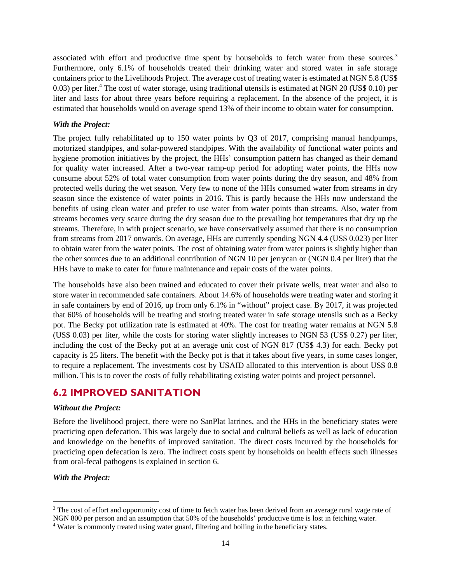associated with effort and productive time spent by households to fetch water from these sources.<sup>3</sup> Furthermore, only 6.1% of households treated their drinking water and stored water in safe storage containers prior to the Livelihoods Project. The average cost of treating water is estimated at NGN 5.8 (US\$ 0.03) per liter.<sup>4</sup> The cost of water storage, using traditional utensils is estimated at NGN 20 (US\$ 0.10) per liter and lasts for about three years before requiring a replacement. In the absence of the project, it is estimated that households would on average spend 13% of their income to obtain water for consumption.

#### *With the Project:*

The project fully rehabilitated up to 150 water points by Q3 of 2017, comprising manual handpumps, motorized standpipes, and solar-powered standpipes. With the availability of functional water points and hygiene promotion initiatives by the project, the HHs' consumption pattern has changed as their demand for quality water increased. After a two-year ramp-up period for adopting water points, the HHs now consume about 52% of total water consumption from water points during the dry season, and 48% from protected wells during the wet season. Very few to none of the HHs consumed water from streams in dry season since the existence of water points in 2016. This is partly because the HHs now understand the benefits of using clean water and prefer to use water from water points than streams. Also, water from streams becomes very scarce during the dry season due to the prevailing hot temperatures that dry up the streams. Therefore, in with project scenario, we have conservatively assumed that there is no consumption from streams from 2017 onwards. On average, HHs are currently spending NGN 4.4 (US\$ 0.023) per liter to obtain water from the water points. The cost of obtaining water from water points is slightly higher than the other sources due to an additional contribution of NGN 10 per jerrycan or (NGN 0.4 per liter) that the HHs have to make to cater for future maintenance and repair costs of the water points.

The households have also been trained and educated to cover their private wells, treat water and also to store water in recommended safe containers. About 14.6% of households were treating water and storing it in safe containers by end of 2016, up from only 6.1% in "without" project case. By 2017, it was projected that 60% of households will be treating and storing treated water in safe storage utensils such as a Becky pot. The Becky pot utilization rate is estimated at 40%. The cost for treating water remains at NGN 5.8 (US\$ 0.03) per liter, while the costs for storing water slightly increases to NGN 53 (US\$ 0.27) per liter, including the cost of the Becky pot at an average unit cost of NGN 817 (US\$ 4.3) for each. Becky pot capacity is 25 liters. The benefit with the Becky pot is that it takes about five years, in some cases longer, to require a replacement. The investments cost by USAID allocated to this intervention is about US\$ 0.8 million. This is to cover the costs of fully rehabilitating existing water points and project personnel.

# **6.2 IMPROVED SANITATION**

#### *Without the Project:*

Before the livelihood project, there were no SanPlat latrines, and the HHs in the beneficiary states were practicing open defecation. This was largely due to social and cultural beliefs as well as lack of education and knowledge on the benefits of improved sanitation. The direct costs incurred by the households for practicing open defecation is zero. The indirect costs spent by households on health effects such illnesses from oral-fecal pathogens is explained in section 6.

#### *With the Project:*

<sup>&</sup>lt;sup>3</sup> The cost of effort and opportunity cost of time to fetch water has been derived from an average rural wage rate of NGN 800 per person and an assumption that 50% of the households' productive time is lost in fetching water.

<sup>&</sup>lt;sup>4</sup> Water is commonly treated using water guard, filtering and boiling in the beneficiary states.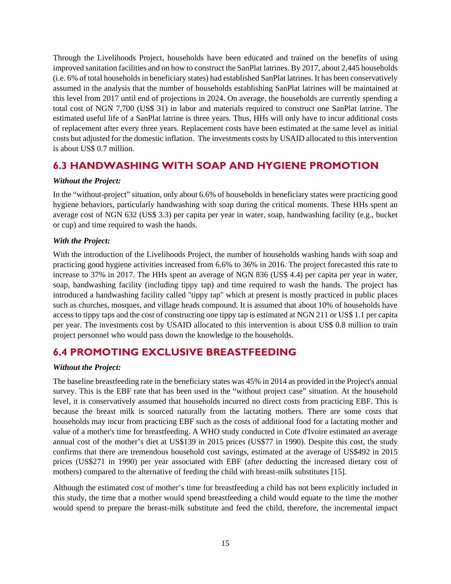Through the Livelihoods Project, households have been educated and trained on the benefits of using improved sanitation facilities and on how to construct the SanPlat latrines. By 2017, about 2,445 households (i.e. 6% of total households in beneficiary states) had established SanPlat latrines. It has been conservatively assumed in the analysis that the number of households establishing SanPlat latrines will be maintained at this level from 2017 until end of projections in 2024. On average, the households are currently spending a total cost of NGN 7,700 (US\$ 31) in labor and materials required to construct one SanPlat latrine. The estimated useful life of a SanPlat latrine is three years. Thus, HHs will only have to incur additional costs of replacement after every three years. Replacement costs have been estimated at the same level as initial costs but adjusted for the domestic inflation. The investments costs by USAID allocated to this intervention is about US\$ 0.7 million.

### **6.3 HANDWASHING WITH SOAP AND HYGIENE PROMOTION**

### *Without the Project:*

In the "without-project" situation, only about 6.6% of households in beneficiary states were practicing good hygiene behaviors, particularly handwashing with soap during the critical moments. These HHs spent an average cost of NGN 632 (US\$ 3.3) per capita per year in water, soap, handwashing facility (e.g., bucket or cup) and time required to wash the hands.

#### *With the Project:*

With the introduction of the Livelihoods Project, the number of households washing hands with soap and practicing good hygiene activities increased from 6.6% to 36% in 2016. The project forecasted this rate to increase to 37% in 2017. The HHs spent an average of NGN 836 (US\$ 4.4) per capita per year in water, soap, handwashing facility (including tippy tap) and time required to wash the hands. The project has introduced a handwashing facility called "tippy tap" which at present is mostly practiced in public places such as churches, mosques, and village heads compound. It is assumed that about 10% of households have access to tippy taps and the cost of constructing one tippy tap is estimated at NGN 211 or US\$ 1.1 per capita per year. The investments cost by USAID allocated to this intervention is about US\$ 0.8 million to train project personnel who would pass down the knowledge to the households.

### **6.4 PROMOTING EXCLUSIVE BREASTFEEDING**

### *Without the Project:*

The baseline breastfeeding rate in the beneficiary states was 45% in 2014 as provided in the Project's annual survey. This is the EBF rate that has been used in the "without project case" situation. At the household level, it is conservatively assumed that households incurred no direct costs from practicing EBF. This is because the breast milk is sourced naturally from the lactating mothers. There are some costs that households may incur from practicing EBF such as the costs of additional food for a lactating mother and value of a mother's time for breastfeeding. A WHO study conducted in Cote d'Ivoire estimated an average annual cost of the mother's diet at US\$139 in 2015 prices (US\$77 in 1990). Despite this cost, the study confirms that there are tremendous household cost savings, estimated at the average of US\$492 in 2015 prices (US\$271 in 1990) per year associated with EBF (after deducting the increased dietary cost of mothers) compared to the alternative of feeding the child with breast-milk substitutes [15].

Although the estimated cost of mother's time for breastfeeding a child has not been explicitly included in this study, the time that a mother would spend breastfeeding a child would equate to the time the mother would spend to prepare the breast-milk substitute and feed the child, therefore, the incremental impact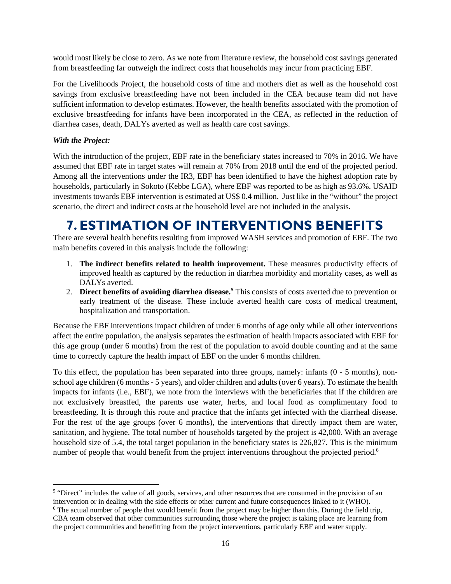would most likely be close to zero. As we note from literature review, the household cost savings generated from breastfeeding far outweigh the indirect costs that households may incur from practicing EBF.

For the Livelihoods Project, the household costs of time and mothers diet as well as the household cost savings from exclusive breastfeeding have not been included in the CEA because team did not have sufficient information to develop estimates. However, the health benefits associated with the promotion of exclusive breastfeeding for infants have been incorporated in the CEA, as reflected in the reduction of diarrhea cases, death, DALYs averted as well as health care cost savings.

#### *With the Project:*

With the introduction of the project, EBF rate in the beneficiary states increased to 70% in 2016. We have assumed that EBF rate in target states will remain at 70% from 2018 until the end of the projected period. Among all the interventions under the IR3, EBF has been identified to have the highest adoption rate by households, particularly in Sokoto (Kebbe LGA), where EBF was reported to be as high as 93.6%. USAID investments towards EBF intervention is estimated at US\$ 0.4 million. Just like in the "without" the project scenario, the direct and indirect costs at the household level are not included in the analysis.

# **7. ESTIMATION OF INTERVENTIONS BENEFITS**

There are several health benefits resulting from improved WASH services and promotion of EBF. The two main benefits covered in this analysis include the following:

- 1. **The indirect benefits related to health improvement.** These measures productivity effects of improved health as captured by the reduction in diarrhea morbidity and mortality cases, as well as DALYs averted.
- 2. **Direct benefits of avoiding diarrhea disease.5** This consists of costs averted due to prevention or early treatment of the disease. These include averted health care costs of medical treatment, hospitalization and transportation.

Because the EBF interventions impact children of under 6 months of age only while all other interventions affect the entire population, the analysis separates the estimation of health impacts associated with EBF for this age group (under 6 months) from the rest of the population to avoid double counting and at the same time to correctly capture the health impact of EBF on the under 6 months children.

To this effect, the population has been separated into three groups, namely: infants (0 - 5 months), nonschool age children (6 months - 5 years), and older children and adults (over 6 years). To estimate the health impacts for infants (i.e., EBF), we note from the interviews with the beneficiaries that if the children are not exclusively breastfed, the parents use water, herbs, and local food as complimentary food to breastfeeding. It is through this route and practice that the infants get infected with the diarrheal disease. For the rest of the age groups (over 6 months), the interventions that directly impact them are water, sanitation, and hygiene. The total number of households targeted by the project is 42,000. With an average household size of 5.4, the total target population in the beneficiary states is 226,827. This is the minimum number of people that would benefit from the project interventions throughout the projected period.<sup>6</sup>

<sup>&</sup>lt;sup>5</sup> "Direct" includes the value of all goods, services, and other resources that are consumed in the provision of an intervention or in dealing with the side effects or other current and future consequences linked to it (WHO). <sup>6</sup> The actual number of people that would benefit from the project may be higher than this. During the field trip, CBA team observed that other communities surrounding those where the project is taking place are learning from

the project communities and benefitting from the project interventions, particularly EBF and water supply.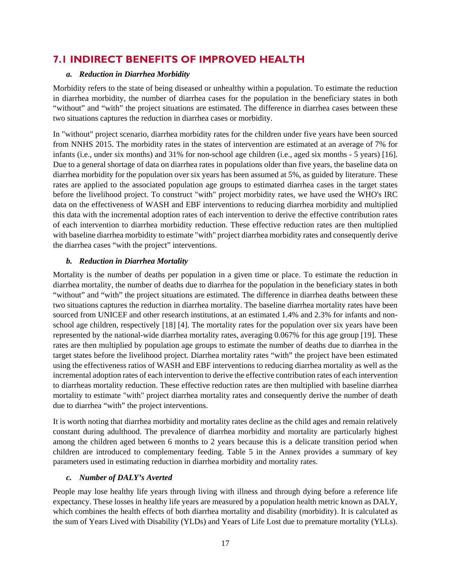### **7.1 INDIRECT BENEFITS OF IMPROVED HEALTH**

#### *a. Reduction in Diarrhea Morbidity*

Morbidity refers to the state of being diseased or unhealthy within a population. To estimate the reduction in diarrhea morbidity, the number of diarrhea cases for the population in the beneficiary states in both "without" and "with" the project situations are estimated. The difference in diarrhea cases between these two situations captures the reduction in diarrhea cases or morbidity.

In "without" project scenario, diarrhea morbidity rates for the children under five years have been sourced from NNHS 2015. The morbidity rates in the states of intervention are estimated at an average of 7% for infants (i.e., under six months) and 31% for non-school age children (i.e., aged six months - 5 years) [16]. Due to a general shortage of data on diarrhea rates in populations older than five years, the baseline data on diarrhea morbidity for the population over six years has been assumed at 5%, as guided by literature. These rates are applied to the associated population age groups to estimated diarrhea cases in the target states before the livelihood project. To construct "with" project morbidity rates, we have used the WHO's IRC data on the effectiveness of WASH and EBF interventions to reducing diarrhea morbidity and multiplied this data with the incremental adoption rates of each intervention to derive the effective contribution rates of each intervention to diarrhea morbidity reduction. These effective reduction rates are then multiplied with baseline diarrhea morbidity to estimate "with" project diarrhea morbidity rates and consequently derive the diarrhea cases "with the project" interventions.

#### *b. Reduction in Diarrhea Mortality*

Mortality is the number of deaths per population in a given time or place. To estimate the reduction in diarrhea mortality, the number of deaths due to diarrhea for the population in the beneficiary states in both "without" and "with" the project situations are estimated. The difference in diarrhea deaths between these two situations captures the reduction in diarrhea mortality. The baseline diarrhea mortality rates have been sourced from UNICEF and other research institutions, at an estimated 1.4% and 2.3% for infants and nonschool age children, respectively [18] [4]. The mortality rates for the population over six years have been represented by the national-wide diarrhea mortality rates, averaging 0.067% for this age group [19]. These rates are then multiplied by population age groups to estimate the number of deaths due to diarrhea in the target states before the livelihood project. Diarrhea mortality rates "with" the project have been estimated using the effectiveness ratios of WASH and EBF interventions to reducing diarrhea mortality as well as the incremental adoption rates of each intervention to derive the effective contribution rates of each intervention to diarrheas mortality reduction. These effective reduction rates are then multiplied with baseline diarrhea mortality to estimate "with" project diarrhea mortality rates and consequently derive the number of death due to diarrhea "with" the project interventions.

It is worth noting that diarrhea morbidity and mortality rates decline as the child ages and remain relatively constant during adulthood. The prevalence of diarrhea morbidity and mortality are particularly highest among the children aged between 6 months to 2 years because this is a delicate transition period when children are introduced to complementary feeding. Table 5 in the Annex provides a summary of key parameters used in estimating reduction in diarrhea morbidity and mortality rates.

#### *c. Number of DALY's Averted*

People may lose healthy life years through living with illness and through dying before a reference life expectancy. These losses in healthy life years are measured by a population health metric known as DALY, which combines the health effects of both diarrhea mortality and disability (morbidity). It is calculated as the sum of Years Lived with Disability (YLDs) and Years of Life Lost due to premature mortality (YLLs).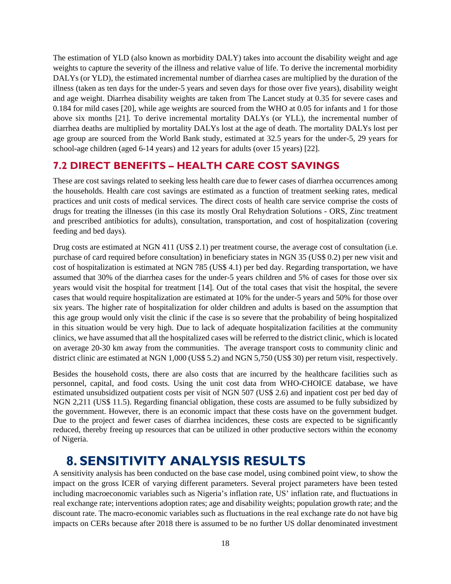The estimation of YLD (also known as morbidity DALY) takes into account the disability weight and age weights to capture the severity of the illness and relative value of life. To derive the incremental morbidity DALYs (or YLD), the estimated incremental number of diarrhea cases are multiplied by the duration of the illness (taken as ten days for the under-5 years and seven days for those over five years), disability weight and age weight. Diarrhea disability weights are taken from The Lancet study at 0.35 for severe cases and 0.184 for mild cases [20], while age weights are sourced from the WHO at 0.05 for infants and 1 for those above six months [21]. To derive incremental mortality DALYs (or YLL), the incremental number of diarrhea deaths are multiplied by mortality DALYs lost at the age of death. The mortality DALYs lost per age group are sourced from the World Bank study, estimated at 32.5 years for the under-5, 29 years for school-age children (aged 6-14 years) and 12 years for adults (over 15 years) [22].

# **7.2 DIRECT BENEFITS – HEALTH CARE COST SAVINGS**

These are cost savings related to seeking less health care due to fewer cases of diarrhea occurrences among the households. Health care cost savings are estimated as a function of treatment seeking rates, medical practices and unit costs of medical services. The direct costs of health care service comprise the costs of drugs for treating the illnesses (in this case its mostly Oral Rehydration Solutions - ORS, Zinc treatment and prescribed antibiotics for adults), consultation, transportation, and cost of hospitalization (covering feeding and bed days).

Drug costs are estimated at NGN 411 (US\$ 2.1) per treatment course, the average cost of consultation (i.e. purchase of card required before consultation) in beneficiary states in NGN 35 (US\$ 0.2) per new visit and cost of hospitalization is estimated at NGN 785 (US\$ 4.1) per bed day. Regarding transportation, we have assumed that 30% of the diarrhea cases for the under-5 years children and 5% of cases for those over six years would visit the hospital for treatment [14]. Out of the total cases that visit the hospital, the severe cases that would require hospitalization are estimated at 10% for the under-5 years and 50% for those over six years. The higher rate of hospitalization for older children and adults is based on the assumption that this age group would only visit the clinic if the case is so severe that the probability of being hospitalized in this situation would be very high. Due to lack of adequate hospitalization facilities at the community clinics, we have assumed that all the hospitalized cases will be referred to the district clinic, which is located on average 20-30 km away from the communities. The average transport costs to community clinic and district clinic are estimated at NGN 1,000 (US\$ 5.2) and NGN 5,750 (US\$ 30) per return visit, respectively.

Besides the household costs, there are also costs that are incurred by the healthcare facilities such as personnel, capital, and food costs. Using the unit cost data from WHO-CHOICE database, we have estimated unsubsidized outpatient costs per visit of NGN 507 (US\$ 2.6) and inpatient cost per bed day of NGN 2,211 (US\$ 11.5). Regarding financial obligation, these costs are assumed to be fully subsidized by the government. However, there is an economic impact that these costs have on the government budget. Due to the project and fewer cases of diarrhea incidences, these costs are expected to be significantly reduced, thereby freeing up resources that can be utilized in other productive sectors within the economy of Nigeria.

# **8. SENSITIVITY ANALYSIS RESULTS**

A sensitivity analysis has been conducted on the base case model, using combined point view, to show the impact on the gross ICER of varying different parameters. Several project parameters have been tested including macroeconomic variables such as Nigeria's inflation rate, US' inflation rate, and fluctuations in real exchange rate; interventions adoption rates; age and disability weights; population growth rate; and the discount rate. The macro-economic variables such as fluctuations in the real exchange rate do not have big impacts on CERs because after 2018 there is assumed to be no further US dollar denominated investment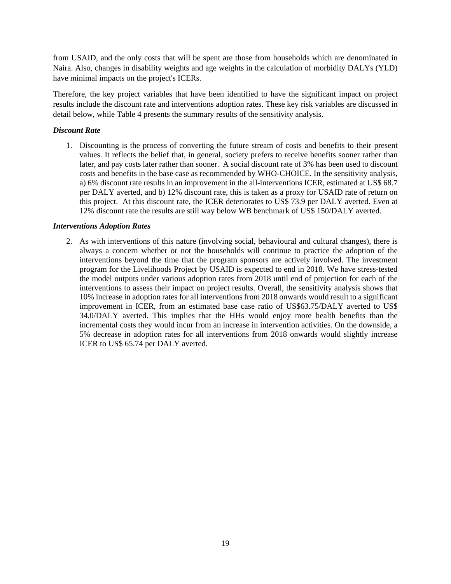from USAID, and the only costs that will be spent are those from households which are denominated in Naira. Also, changes in disability weights and age weights in the calculation of morbidity DALYs (YLD) have minimal impacts on the project's ICERs.

Therefore, the key project variables that have been identified to have the significant impact on project results include the discount rate and interventions adoption rates. These key risk variables are discussed in detail below, while Table 4 presents the summary results of the sensitivity analysis.

#### *Discount Rate*

1. Discounting is the process of converting the future stream of costs and benefits to their present values. It reflects the belief that, in general, society prefers to receive benefits sooner rather than later, and pay costs later rather than sooner. A social discount rate of 3% has been used to discount costs and benefits in the base case as recommended by WHO-CHOICE. In the sensitivity analysis, a) 6% discount rate results in an improvement in the all-interventions ICER, estimated at US\$ 68.7 per DALY averted, and b) 12% discount rate, this is taken as a proxy for USAID rate of return on this project. At this discount rate, the ICER deteriorates to US\$ 73.9 per DALY averted. Even at 12% discount rate the results are still way below WB benchmark of US\$ 150/DALY averted.

#### *Interventions Adoption Rates*

2. As with interventions of this nature (involving social, behavioural and cultural changes), there is always a concern whether or not the households will continue to practice the adoption of the interventions beyond the time that the program sponsors are actively involved. The investment program for the Livelihoods Project by USAID is expected to end in 2018. We have stress-tested the model outputs under various adoption rates from 2018 until end of projection for each of the interventions to assess their impact on project results. Overall, the sensitivity analysis shows that 10% increase in adoption rates for all interventions from 2018 onwards would result to a significant improvement in ICER, from an estimated base case ratio of US\$63.75/DALY averted to US\$ 34.0/DALY averted. This implies that the HHs would enjoy more health benefits than the incremental costs they would incur from an increase in intervention activities. On the downside, a 5% decrease in adoption rates for all interventions from 2018 onwards would slightly increase ICER to US\$ 65.74 per DALY averted.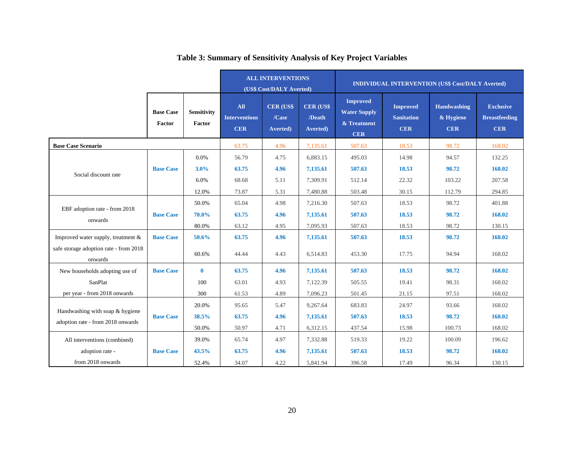|                                                   |                            |                              | <b>ALL INTERVENTIONS</b><br>(US\$ Cost/DALY Averted) |                                               | <b>INDIVIDUAL INTERVENTION (US\$ Cost/DALY Averted)</b> |                                                                     |                                                    |                                               |                                                        |
|---------------------------------------------------|----------------------------|------------------------------|------------------------------------------------------|-----------------------------------------------|---------------------------------------------------------|---------------------------------------------------------------------|----------------------------------------------------|-----------------------------------------------|--------------------------------------------------------|
|                                                   | <b>Base Case</b><br>Factor | <b>Sensitivity</b><br>Factor | <b>All</b><br><b>Interventions</b><br><b>CER</b>     | <b>CER (US\$</b><br>/Case<br><b>Averted</b> ) | <b>CER (US\$)</b><br>/Death<br>Averted)                 | <b>Improved</b><br><b>Water Supply</b><br>& Treatment<br><b>CER</b> | <b>Improved</b><br><b>Sanitation</b><br><b>CER</b> | <b>Handwashing</b><br>& Hygiene<br><b>CER</b> | <b>Exclusive</b><br><b>Breastfeeding</b><br><b>CER</b> |
| <b>Base Case Scenario</b>                         |                            | 63.75                        | 4.96                                                 | 7,135.61                                      | 507.63                                                  | 18.53                                                               | 98.72                                              | 168.02                                        |                                                        |
|                                                   |                            | 0.0%                         | 56.79                                                | 4.75                                          | 6,883.15                                                | 495.03                                                              | 14.98                                              | 94.57                                         | 132.25                                                 |
|                                                   | <b>Base Case</b>           | 3.0%                         | 63.75                                                | 4.96                                          | 7,135.61                                                | 507.63                                                              | 18.53                                              | 98.72                                         | 168.02                                                 |
| Social discount rate                              |                            | 6.0%                         | 68.68                                                | 5.11                                          | 7,309.91                                                | 512.14                                                              | 22.32                                              | 103.22                                        | 207.58                                                 |
|                                                   |                            | 12.0%                        | 73.87                                                | 5.31                                          | 7,480.88                                                | 503.48                                                              | 30.15                                              | 112.79                                        | 294.85                                                 |
|                                                   |                            | 50.0%                        | 65.04                                                | 4.98                                          | 7,216.30                                                | 507.63                                                              | 18.53                                              | 98.72                                         | 401.88                                                 |
| EBF adoption rate - from 2018                     | <b>Base Case</b>           | 70.0%                        | 63.75                                                | 4.96                                          | 7,135.61                                                | 507.63                                                              | 18.53                                              | 98.72                                         | 168.02                                                 |
| onwards                                           |                            | 80.0%                        | 63.12                                                | 4.95                                          | 7,095.93                                                | 507.63                                                              | 18.53                                              | 98.72                                         | 130.15                                                 |
| Improved water supply, treatment $\&$             | <b>Base Case</b>           | 50.6%                        | 63.75                                                | 4.96                                          | 7,135.61                                                | 507.63                                                              | 18.53                                              | 98.72                                         | 168.02                                                 |
| safe storage adoption rate - from 2018<br>onwards |                            | 60.6%                        | 44.44                                                | 4.43                                          | 6,514.83                                                | 453.30                                                              | 17.75                                              | 94.94                                         | 168.02                                                 |
| New households adopting use of                    | <b>Base Case</b>           | $\bf{0}$                     | 63.75                                                | 4.96                                          | 7,135.61                                                | 507.63                                                              | 18.53                                              | 98.72                                         | 168.02                                                 |
| SanPlat                                           |                            | 100                          | 63.01                                                | 4.93                                          | 7,122.39                                                | 505.55                                                              | 19.41                                              | 98.31                                         | 168.02                                                 |
| per year - from 2018 onwards                      |                            | 300                          | 61.53                                                | 4.89                                          | 7,096.23                                                | 501.45                                                              | 21.15                                              | 97.51                                         | 168.02                                                 |
|                                                   |                            | 20.0%                        | 95.65                                                | 5.47                                          | 9,267.64                                                | 683.83                                                              | 24.97                                              | 93.66                                         | 168.02                                                 |
| Handwashing with soap & hygiene                   | <b>Base Case</b>           | 38.5%                        | 63.75                                                | 4.96                                          | 7,135.61                                                | 507.63                                                              | 18.53                                              | 98.72                                         | 168.02                                                 |
| adoption rate - from 2018 onwards                 |                            | 50.0%                        | 50.97                                                | 4.71                                          | 6,312.15                                                | 437.54                                                              | 15.98                                              | 100.73                                        | 168.02                                                 |
| All interventions (combined)                      |                            | 39.0%                        | 65.74                                                | 4.97                                          | 7,332.88                                                | 519.33                                                              | 19.22                                              | 100.09                                        | 196.62                                                 |
| adoption rate -                                   | <b>Base Case</b>           | 43.5%                        | 63.75                                                | 4.96                                          | 7,135.61                                                | 507.63                                                              | 18.53                                              | 98.72                                         | 168.02                                                 |
| from 2018 onwards                                 |                            | 52.4%                        | 34.07                                                | 4.22                                          | 5,841.94                                                | 396.58                                                              | 17.49                                              | 96.34                                         | 130.15                                                 |

# **Table 3: Summary of Sensitivity Analysis of Key Project Variables**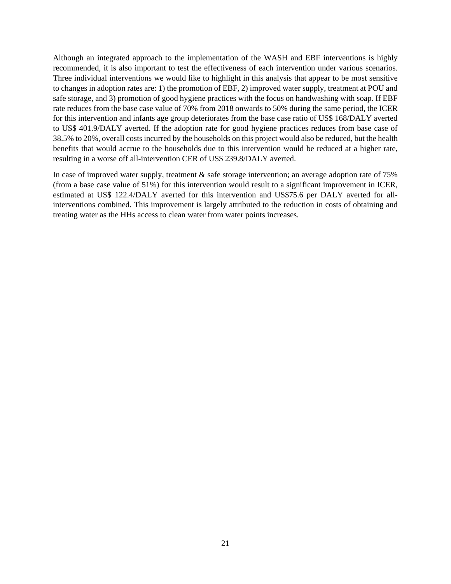Although an integrated approach to the implementation of the WASH and EBF interventions is highly recommended, it is also important to test the effectiveness of each intervention under various scenarios. Three individual interventions we would like to highlight in this analysis that appear to be most sensitive to changes in adoption rates are: 1) the promotion of EBF, 2) improved water supply, treatment at POU and safe storage, and 3) promotion of good hygiene practices with the focus on handwashing with soap. If EBF rate reduces from the base case value of 70% from 2018 onwards to 50% during the same period, the ICER for this intervention and infants age group deteriorates from the base case ratio of US\$ 168/DALY averted to US\$ 401.9/DALY averted. If the adoption rate for good hygiene practices reduces from base case of 38.5% to 20%, overall costs incurred by the households on this project would also be reduced, but the health benefits that would accrue to the households due to this intervention would be reduced at a higher rate, resulting in a worse off all-intervention CER of US\$ 239.8/DALY averted.

In case of improved water supply, treatment & safe storage intervention; an average adoption rate of 75% (from a base case value of 51%) for this intervention would result to a significant improvement in ICER, estimated at US\$ 122.4/DALY averted for this intervention and US\$75.6 per DALY averted for allinterventions combined. This improvement is largely attributed to the reduction in costs of obtaining and treating water as the HHs access to clean water from water points increases.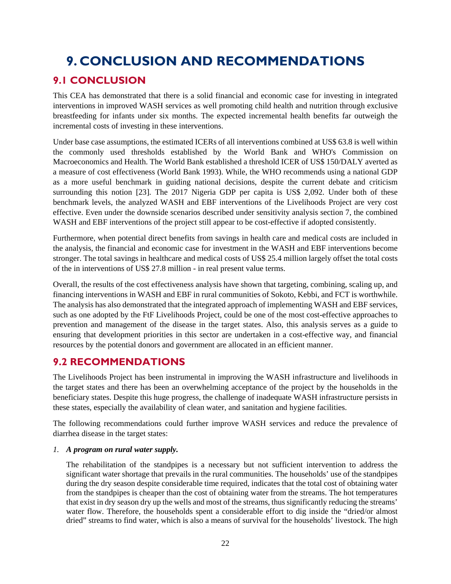# **9. CONCLUSION AND RECOMMENDATIONS**

### **9.1 CONCLUSION**

This CEA has demonstrated that there is a solid financial and economic case for investing in integrated interventions in improved WASH services as well promoting child health and nutrition through exclusive breastfeeding for infants under six months. The expected incremental health benefits far outweigh the incremental costs of investing in these interventions.

Under base case assumptions, the estimated ICERs of all interventions combined at US\$ 63.8 is well within the commonly used thresholds established by the World Bank and WHO's Commission on Macroeconomics and Health. The World Bank established a threshold ICER of US\$ 150/DALY averted as a measure of cost effectiveness (World Bank 1993). While, the WHO recommends using a national GDP as a more useful benchmark in guiding national decisions, despite the current debate and criticism surrounding this notion [23]. The 2017 Nigeria GDP per capita is US\$ 2,092. Under both of these benchmark levels, the analyzed WASH and EBF interventions of the Livelihoods Project are very cost effective. Even under the downside scenarios described under sensitivity analysis section 7, the combined WASH and EBF interventions of the project still appear to be cost-effective if adopted consistently.

Furthermore, when potential direct benefits from savings in health care and medical costs are included in the analysis, the financial and economic case for investment in the WASH and EBF interventions become stronger. The total savings in healthcare and medical costs of US\$ 25.4 million largely offset the total costs of the in interventions of US\$ 27.8 million - in real present value terms.

Overall, the results of the cost effectiveness analysis have shown that targeting, combining, scaling up, and financing interventions in WASH and EBF in rural communities of Sokoto, Kebbi, and FCT is worthwhile. The analysis has also demonstrated that the integrated approach of implementing WASH and EBF services, such as one adopted by the FtF Livelihoods Project, could be one of the most cost-effective approaches to prevention and management of the disease in the target states. Also, this analysis serves as a guide to ensuring that development priorities in this sector are undertaken in a cost-effective way, and financial resources by the potential donors and government are allocated in an efficient manner.

# **9.2 RECOMMENDATIONS**

The Livelihoods Project has been instrumental in improving the WASH infrastructure and livelihoods in the target states and there has been an overwhelming acceptance of the project by the households in the beneficiary states. Despite this huge progress, the challenge of inadequate WASH infrastructure persists in these states, especially the availability of clean water, and sanitation and hygiene facilities.

The following recommendations could further improve WASH services and reduce the prevalence of diarrhea disease in the target states:

#### *1. A program on rural water supply.*

The rehabilitation of the standpipes is a necessary but not sufficient intervention to address the significant water shortage that prevails in the rural communities. The households' use of the standpipes during the dry season despite considerable time required, indicates that the total cost of obtaining water from the standpipes is cheaper than the cost of obtaining water from the streams. The hot temperatures that exist in dry season dry up the wells and most of the streams, thus significantly reducing the streams' water flow. Therefore, the households spent a considerable effort to dig inside the "dried/or almost dried" streams to find water, which is also a means of survival for the households' livestock. The high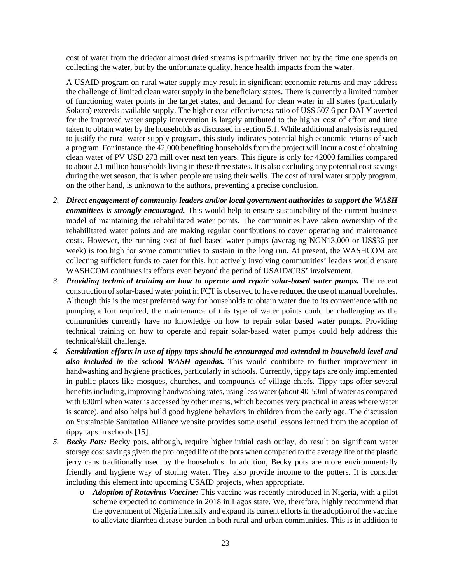cost of water from the dried/or almost dried streams is primarily driven not by the time one spends on collecting the water, but by the unfortunate quality, hence health impacts from the water.

A USAID program on rural water supply may result in significant economic returns and may address the challenge of limited clean water supply in the beneficiary states. There is currently a limited number of functioning water points in the target states, and demand for clean water in all states (particularly Sokoto) exceeds available supply. The higher cost-effectiveness ratio of US\$ 507.6 per DALY averted for the improved water supply intervention is largely attributed to the higher cost of effort and time taken to obtain water by the households as discussed in section 5.1. While additional analysis is required to justify the rural water supply program, this study indicates potential high economic returns of such a program. For instance, the 42,000 benefiting households from the project will incur a cost of obtaining clean water of PV USD 273 mill over next ten years. This figure is only for 42000 families compared to about 2.1 million households living in these three states. It is also excluding any potential cost savings during the wet season, that is when people are using their wells. The cost of rural water supply program, on the other hand, is unknown to the authors, preventing a precise conclusion.

- *2. Direct engagement of community leaders and/or local government authorities to support the WASH committees is strongly encouraged.* This would help to ensure sustainability of the current business model of maintaining the rehabilitated water points. The communities have taken ownership of the rehabilitated water points and are making regular contributions to cover operating and maintenance costs. However, the running cost of fuel-based water pumps (averaging NGN13,000 or US\$36 per week) is too high for some communities to sustain in the long run. At present, the WASHCOM are collecting sufficient funds to cater for this, but actively involving communities' leaders would ensure WASHCOM continues its efforts even beyond the period of USAID/CRS' involvement.
- *3. Providing technical training on how to operate and repair solar-based water pumps.* The recent construction of solar-based water point in FCT is observed to have reduced the use of manual boreholes. Although this is the most preferred way for households to obtain water due to its convenience with no pumping effort required, the maintenance of this type of water points could be challenging as the communities currently have no knowledge on how to repair solar based water pumps. Providing technical training on how to operate and repair solar-based water pumps could help address this technical/skill challenge.
- *4. Sensitization efforts in use of tippy taps should be encouraged and extended to household level and also included in the school WASH agendas.* This would contribute to further improvement in handwashing and hygiene practices, particularly in schools. Currently, tippy taps are only implemented in public places like mosques, churches, and compounds of village chiefs. Tippy taps offer several benefits including, improving handwashing rates, using less water (about 40-50ml of water as compared with 600ml when water is accessed by other means, which becomes very practical in areas where water is scarce), and also helps build good hygiene behaviors in children from the early age. The discussion on Sustainable Sanitation Alliance website provides some useful lessons learned from the adoption of tippy taps in schools [15].
- *5. Becky Pots:* Becky pots, although, require higher initial cash outlay, do result on significant water storage cost savings given the prolonged life of the pots when compared to the average life of the plastic jerry cans traditionally used by the households. In addition, Becky pots are more environmentally friendly and hygiene way of storing water. They also provide income to the potters. It is consider including this element into upcoming USAID projects, when appropriate.
	- o *Adoption of Rotavirus Vaccine:* This vaccine was recently introduced in Nigeria, with a pilot scheme expected to commence in 2018 in Lagos state. We, therefore, highly recommend that the government of Nigeria intensify and expand its current efforts in the adoption of the vaccine to alleviate diarrhea disease burden in both rural and urban communities. This is in addition to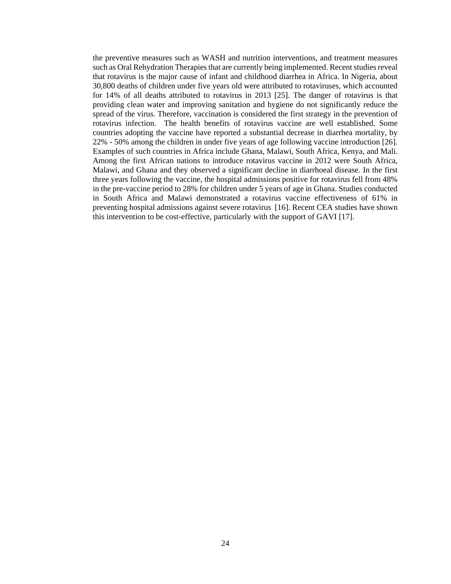the preventive measures such as WASH and nutrition interventions, and treatment measures such as Oral Rehydration Therapies that are currently being implemented. Recent studies reveal that rotavirus is the major cause of infant and childhood diarrhea in Africa. In Nigeria, about 30,800 deaths of children under five years old were attributed to rotaviruses, which accounted for 14% of all deaths attributed to rotavirus in 2013 [25]. The danger of rotavirus is that providing clean water and improving sanitation and hygiene do not significantly reduce the spread of the virus. Therefore, vaccination is considered the first strategy in the prevention of rotavirus infection. The health benefits of rotavirus vaccine are well established. Some countries adopting the vaccine have reported a substantial decrease in diarrhea mortality, by 22% - 50% among the children in under five years of age following vaccine introduction [26]. Examples of such countries in Africa include Ghana, Malawi, South Africa, Kenya, and Mali. Among the first African nations to introduce rotavirus vaccine in 2012 were South Africa, Malawi, and Ghana and they observed a significant decline in diarrhoeal disease. In the first three years following the vaccine, the hospital admissions positive for rotavirus fell from 48% in the pre-vaccine period to 28% for children under 5 years of age in Ghana. Studies conducted in South Africa and Malawi demonstrated a rotavirus vaccine effectiveness of 61% in preventing hospital admissions against severe rotavirus [16]. Recent CEA studies have shown this intervention to be cost-effective, particularly with the support of GAVI [17].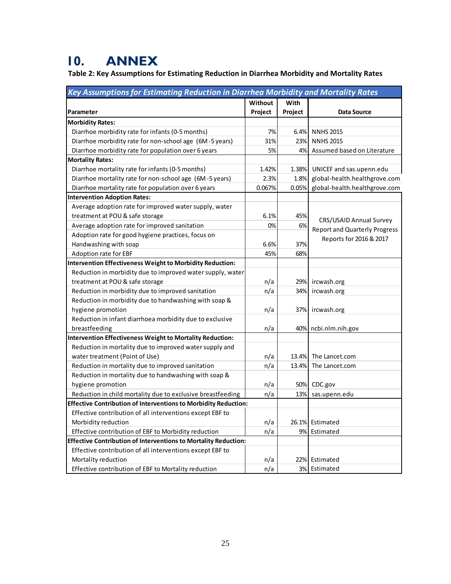# **10. ANNEX**

**Table 2: Key Assumptions for Estimating Reduction in Diarrhea Morbidity and Mortality Rates**

| Key Assumptions for Estimating Reduction in Diarrhea Morbidity and Mortality Rates |         |         |                                      |  |  |  |
|------------------------------------------------------------------------------------|---------|---------|--------------------------------------|--|--|--|
|                                                                                    | Without | With    |                                      |  |  |  |
| Parameter                                                                          | Project | Project | <b>Data Source</b>                   |  |  |  |
| <b>Morbidity Rates:</b>                                                            |         |         |                                      |  |  |  |
| Diarrhoe morbidity rate for infants (0-5 months)                                   | 7%      | 6.4%    | <b>NNHS 2015</b>                     |  |  |  |
| Diarrhoe morbidity rate for non-school age (6M-5 years)                            | 31%     | 23%     | <b>NNHS 2015</b>                     |  |  |  |
| Diarrhoe morbidity rate for population over 6 years                                | 5%      | 4%      | Assumed based on Literature          |  |  |  |
| <b>Mortality Rates:</b>                                                            |         |         |                                      |  |  |  |
| Diarrhoe mortality rate for infants (0-5 months)                                   | 1.42%   | 1.38%   | UNICEF and sas.upenn.edu             |  |  |  |
| Diarrhoe mortality rate for non-school age (6M-5 years)                            | 2.3%    | 1.8%    | global-health.healthgrove.com        |  |  |  |
| Diarrhoe mortality rate for population over 6 years                                | 0.067%  | 0.05%   | global-health.healthgrove.com        |  |  |  |
| <b>Intervention Adoption Rates:</b>                                                |         |         |                                      |  |  |  |
| Average adoption rate for improved water supply, water                             |         |         |                                      |  |  |  |
| treatment at POU & safe storage                                                    | 6.1%    | 45%     | CRS/USAID Annual Survey              |  |  |  |
| Average adoption rate for improved sanitation                                      | 0%      | 6%      |                                      |  |  |  |
| Adoption rate for good hygiene practices, focus on                                 |         |         | <b>Report and Quarterly Progress</b> |  |  |  |
| Handwashing with soap                                                              | 6.6%    | 37%     | Reports for 2016 & 2017              |  |  |  |
| Adoption rate for EBF                                                              | 45%     | 68%     |                                      |  |  |  |
| Intervention Effectiveness Weight to Morbidity Reduction:                          |         |         |                                      |  |  |  |
| Reduction in morbidity due to improved water supply, water                         |         |         |                                      |  |  |  |
| treatment at POU & safe storage                                                    | n/a     | 29%     | ircwash.org                          |  |  |  |
| Reduction in morbidity due to improved sanitation                                  | n/a     | 34%     | ircwash.org                          |  |  |  |
| Reduction in morbidity due to handwashing with soap &                              |         |         |                                      |  |  |  |
| hygiene promotion                                                                  | n/a     | 37%     | ircwash.org                          |  |  |  |
| Reduction in infant diarrhoea morbidity due to exclusive                           |         |         |                                      |  |  |  |
| breastfeeding                                                                      | n/a     |         | 40% ncbi.nlm.nih.gov                 |  |  |  |
| Intervention Effectiveness Weight to Mortality Reduction:                          |         |         |                                      |  |  |  |
| Reduction in mortality due to improved water supply and                            |         |         |                                      |  |  |  |
| water treatment (Point of Use)                                                     | n/a     | 13.4%   | The Lancet.com                       |  |  |  |
| Reduction in mortality due to improved sanitation                                  | n/a     | 13.4%   | The Lancet.com                       |  |  |  |
| Reduction in mortality due to handwashing with soap &                              |         |         |                                      |  |  |  |
| hygiene promotion                                                                  | n/a     |         | 50% CDC.gov                          |  |  |  |
| Reduction in child mortality due to exclusive breastfeeding                        | n/a     | 13%     | sas.upenn.edu                        |  |  |  |
| <b>Effective Contribution of Interventions to Morbidity Reduction:</b>             |         |         |                                      |  |  |  |
| Effective contribution of all interventions except EBF to                          |         |         |                                      |  |  |  |
| Morbidity reduction                                                                | n/a     |         | 26.1% Estimated                      |  |  |  |
| Effective contribution of EBF to Morbidity reduction                               | n/a     |         | 9% Estimated                         |  |  |  |
| <b>Effective Contribution of Interventions to Mortality Reduction:</b>             |         |         |                                      |  |  |  |
| Effective contribution of all interventions except EBF to                          |         |         |                                      |  |  |  |
| Mortality reduction                                                                | n/a     |         | 22% Estimated                        |  |  |  |
| Effective contribution of EBF to Mortality reduction                               | n/a     |         | 3% Estimated                         |  |  |  |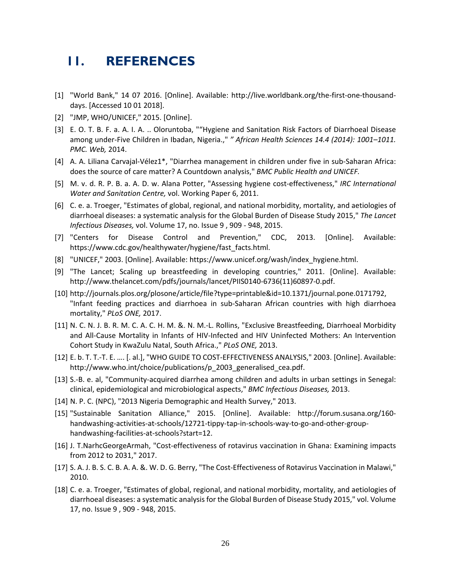# **11. REFERENCES**

- [1] "World Bank," 14 07 2016. [Online]. Available: http://live.worldbank.org/the‐first‐one‐thousand‐ days. [Accessed 10 01 2018].
- [2] "JMP, WHO/UNICEF," 2015. [Online].
- [3] E. O. T. B. F. a. A. I. A. .. Oloruntoba, ""Hygiene and Sanitation Risk Factors of Diarrhoeal Disease among under‐Five Children in Ibadan, Nigeria.," *" African Health Sciences 14.4 (2014): 1001–1011. PMC. Web,* 2014.
- [4] A. A. Liliana Carvajal‐Vélez1\*, "Diarrhea management in children under five in sub‐Saharan Africa: does the source of care matter? A Countdown analysis," *BMC Public Health and UNICEF.*
- [5] M. v. d. R. P. B. a. A. D. w. Alana Potter, "Assessing hygiene cost‐effectiveness," *IRC International Water and Sanitation Centre,* vol. Working Paper 6, 2011.
- [6] C. e. a. Troeger, "Estimates of global, regional, and national morbidity, mortality, and aetiologies of diarrhoeal diseases: a systematic analysis for the Global Burden of Disease Study 2015," *The Lancet Infectious Diseases,* vol. Volume 17, no. Issue 9 , 909 ‐ 948, 2015.
- [7] "Centers for Disease Control and Prevention," CDC, 2013. [Online]. Available: https://www.cdc.gov/healthywater/hygiene/fast\_facts.html.
- [8] "UNICEF," 2003. [Online]. Available: https://www.unicef.org/wash/index\_hygiene.html.
- [9] "The Lancet; Scaling up breastfeeding in developing countries," 2011. [Online]. Available: http://www.thelancet.com/pdfs/journals/lancet/PIIS0140‐6736(11)60897‐0.pdf.
- [10] http://journals.plos.org/plosone/article/file?type=printable&id=10.1371/journal.pone.0171792, "Infant feeding practices and diarrhoea in sub‐Saharan African countries with high diarrhoea mortality," *PLoS ONE,* 2017.
- [11] N. C. N. J. B. R. M. C. A. C. H. M. &. N. M.‐L. Rollins, "Exclusive Breastfeeding, Diarrhoeal Morbidity and All-Cause Mortality in Infants of HIV-Infected and HIV Uninfected Mothers: An Intervention Cohort Study in KwaZulu Natal, South Africa.," *PLoS ONE,* 2013.
- [12] E. b. T. T.-T. E. .... [. al.], "WHO GUIDE TO COST-EFFECTIVENESS ANALYSIS," 2003. [Online]. Available: http://www.who.int/choice/publications/p\_2003\_generalised\_cea.pdf.
- [13] S.‐B. e. al, "Community‐acquired diarrhea among children and adults in urban settings in Senegal: clinical, epidemiological and microbiological aspects," *BMC Infectious Diseases,* 2013.
- [14] N. P. C. (NPC), "2013 Nigeria Demographic and Health Survey," 2013.
- [15] "Sustainable Sanitation Alliance," 2015. [Online]. Available: http://forum.susana.org/160‐ handwashing-activities-at-schools/12721-tippy-tap-in-schools-way-to-go-and-other-grouphandwashing-facilities-at-schools?start=12.
- [16] J. T.NarhcGeorgeArmah, "Cost‐effectiveness of rotavirus vaccination in Ghana: Examining impacts from 2012 to 2031," 2017.
- [17] S. A. J. B. S. C. B. A. A. &. W. D. G. Berry, "The Cost‐Effectiveness of Rotavirus Vaccination in Malawi," 2010.
- [18] C. e. a. Troeger, "Estimates of global, regional, and national morbidity, mortality, and aetiologies of diarrhoeal diseases: a systematic analysisfor the Global Burden of Disease Study 2015," vol. Volume 17, no. Issue 9 , 909 ‐ 948, 2015.